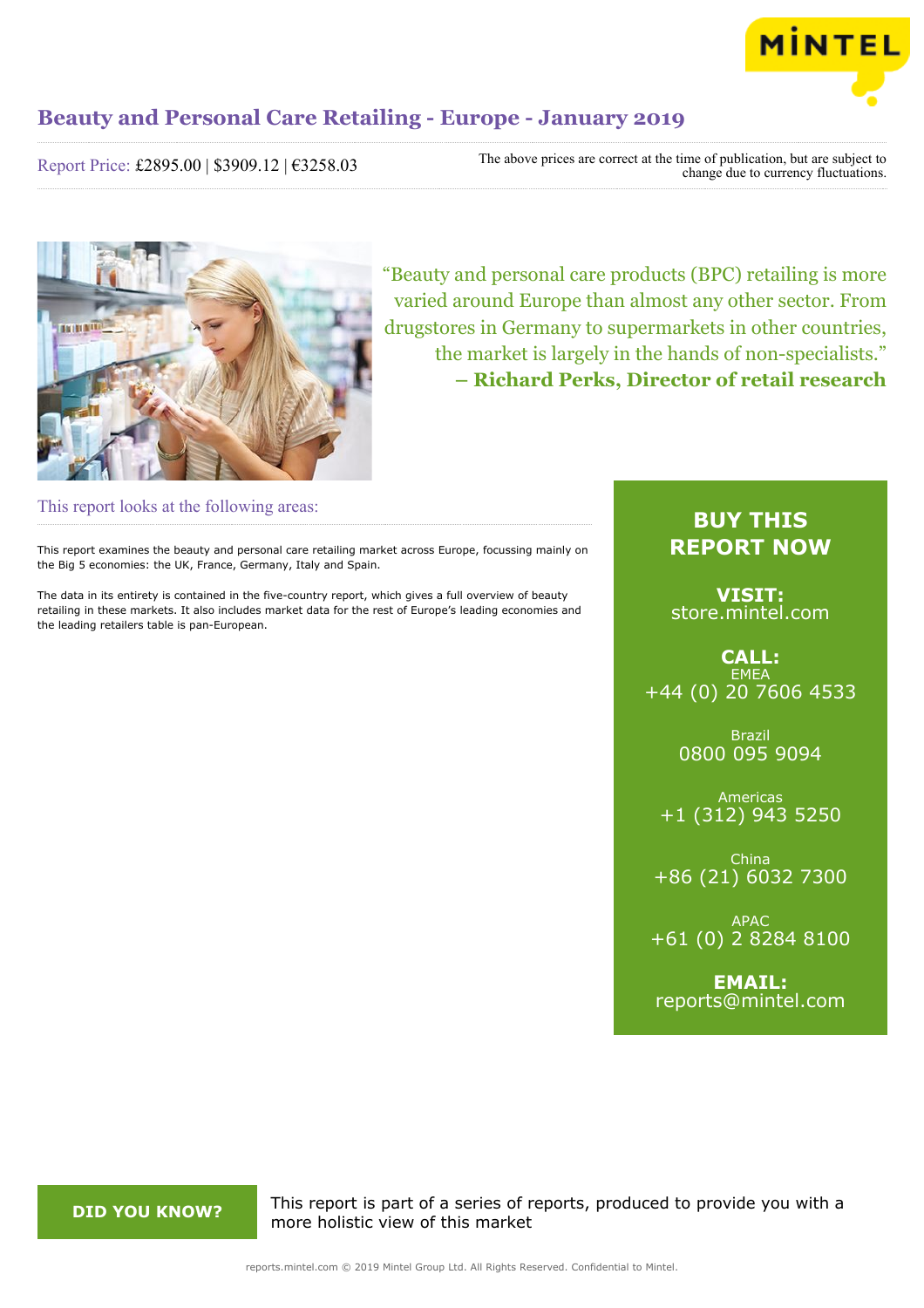

Report Price: £2895.00 | \$3909.12 | €3258.03

The above prices are correct at the time of publication, but are subject to change due to currency fluctuations.



"Beauty and personal care products (BPC) retailing is more varied around Europe than almost any other sector. From drugstores in Germany to supermarkets in other countries, the market is largely in the hands of non-specialists." **– Richard Perks, Director of retail research**

This report looks at the following areas:

This report examines the beauty and personal care retailing market across Europe, focussing mainly on the Big 5 economies: the UK, France, Germany, Italy and Spain.

The data in its entirety is contained in the five-country report, which gives a full overview of beauty retailing in these markets. It also includes market data for the rest of Europe's leading economies and the leading retailers table is pan-European.

### **BUY THIS REPORT NOW**

**VISIT:** [store.mintel.com](http://reports.mintel.com//display/store/928256/)

**CALL: EMEA** +44 (0) 20 7606 4533

> Brazil 0800 095 9094

Americas +1 (312) 943 5250

China +86 (21) 6032 7300

APAC +61 (0) 2 8284 8100

**EMAIL:** [reports@mintel.com](mailto:reports@mintel.com)

**DID YOU KNOW?** This report is part of a series of reports, produced to provide you with a more holistic view of this market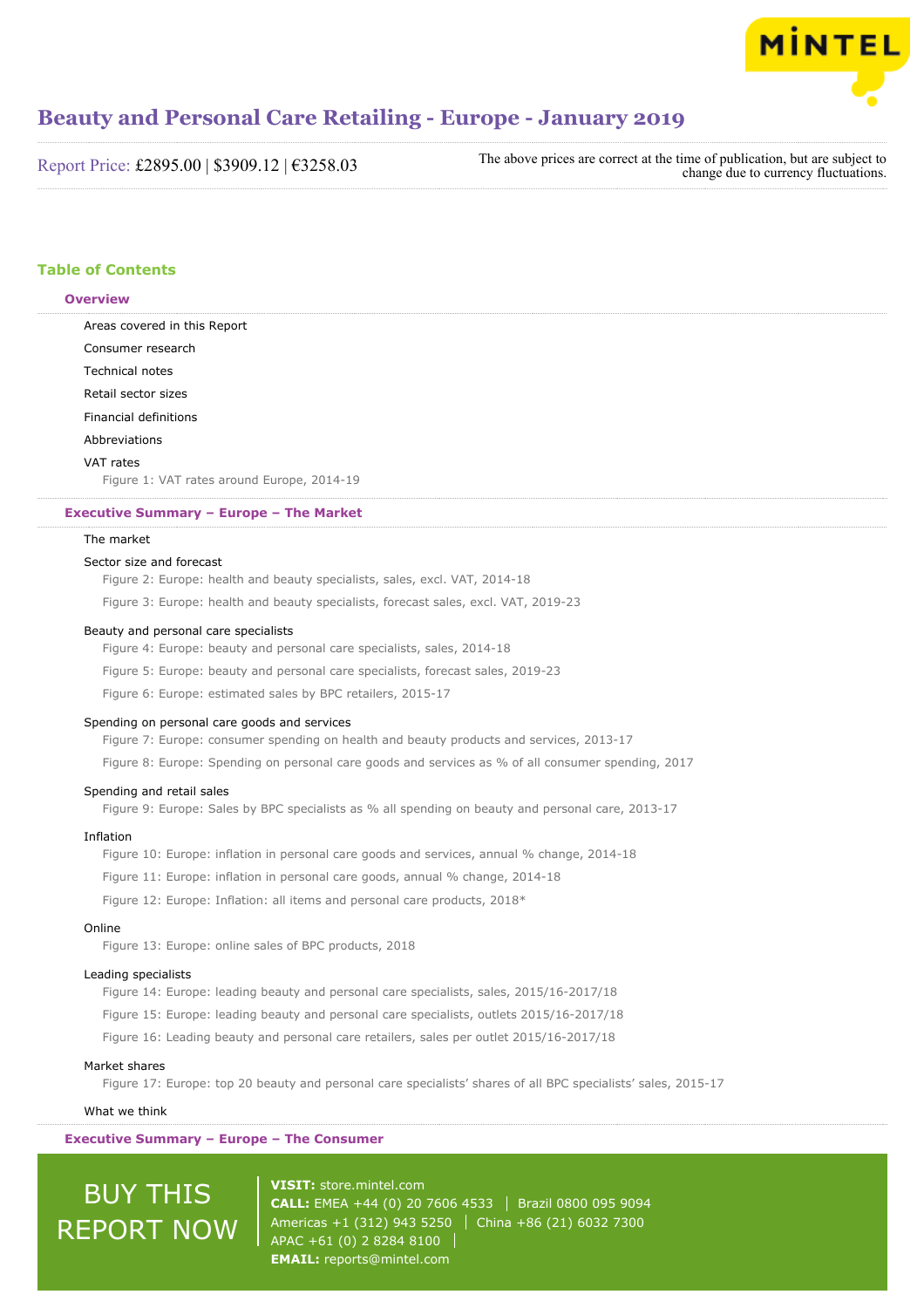

Report Price: £2895.00 | \$3909.12 | €3258.03

The above prices are correct at the time of publication, but are subject to change due to currency fluctuations.

#### **Table of Contents**

#### **Overview**

Areas covered in this Report Consumer research Technical notes Retail sector sizes Financial definitions Abbreviations

#### VAT rates

Figure 1: VAT rates around Europe, 2014-19

#### **Executive Summary – Europe – The Market**

#### The market

#### Sector size and forecast

Figure 2: Europe: health and beauty specialists, sales, excl. VAT, 2014-18

Figure 3: Europe: health and beauty specialists, forecast sales, excl. VAT, 2019-23

#### Beauty and personal care specialists

Figure 4: Europe: beauty and personal care specialists, sales, 2014-18

Figure 5: Europe: beauty and personal care specialists, forecast sales, 2019-23

Figure 6: Europe: estimated sales by BPC retailers, 2015-17

#### Spending on personal care goods and services

Figure 7: Europe: consumer spending on health and beauty products and services, 2013-17

Figure 8: Europe: Spending on personal care goods and services as % of all consumer spending, 2017

#### Spending and retail sales

Figure 9: Europe: Sales by BPC specialists as % all spending on beauty and personal care, 2013-17

#### Inflation

Figure 10: Europe: inflation in personal care goods and services, annual % change, 2014-18

Figure 11: Europe: inflation in personal care goods, annual % change, 2014-18

Figure 12: Europe: Inflation: all items and personal care products, 2018\*

#### Online

Figure 13: Europe: online sales of BPC products, 2018

#### Leading specialists

Figure 14: Europe: leading beauty and personal care specialists, sales, 2015/16-2017/18

Figure 15: Europe: leading beauty and personal care specialists, outlets 2015/16-2017/18

Figure 16: Leading beauty and personal care retailers, sales per outlet 2015/16-2017/18

#### Market shares

Figure 17: Europe: top 20 beauty and personal care specialists' shares of all BPC specialists' sales, 2015-17

#### What we think

**Executive Summary – Europe – The Consumer**

BUY THIS REPORT NOW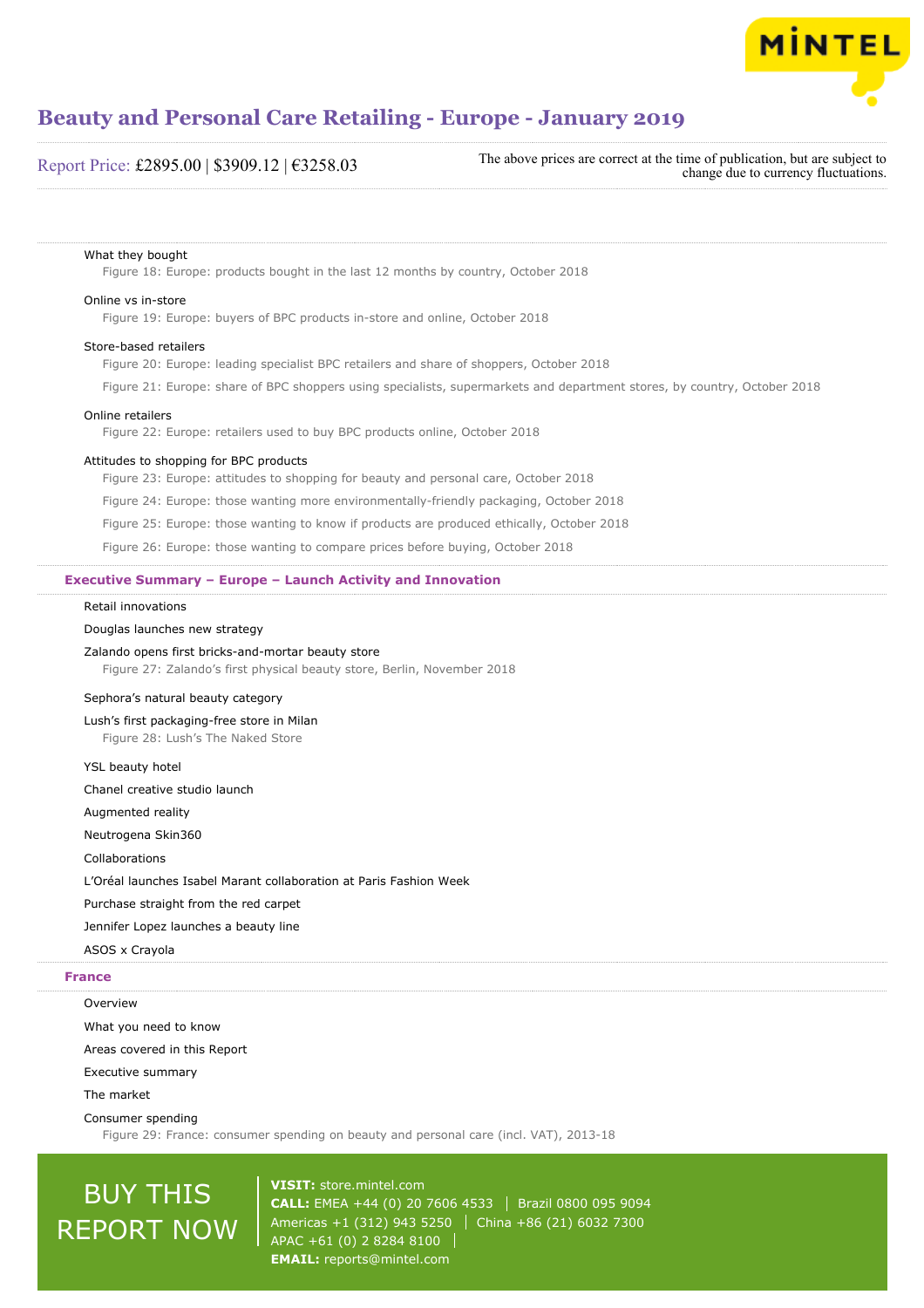

#### Report Price: £2895.00 | \$3909.12 | €3258.03

The above prices are correct at the time of publication, but are subject to change due to currency fluctuations.

#### What they bought

Figure 18: Europe: products bought in the last 12 months by country, October 2018

#### Online vs in-store

Figure 19: Europe: buyers of BPC products in-store and online, October 2018

#### Store-based retailers

Figure 20: Europe: leading specialist BPC retailers and share of shoppers, October 2018

Figure 21: Europe: share of BPC shoppers using specialists, supermarkets and department stores, by country, October 2018

#### Online retailers

Figure 22: Europe: retailers used to buy BPC products online, October 2018

#### Attitudes to shopping for BPC products

Figure 23: Europe: attitudes to shopping for beauty and personal care, October 2018

Figure 24: Europe: those wanting more environmentally-friendly packaging, October 2018

Figure 25: Europe: those wanting to know if products are produced ethically, October 2018

Figure 26: Europe: those wanting to compare prices before buying, October 2018

#### **Executive Summary – Europe – Launch Activity and Innovation**

#### Retail innovations

#### Douglas launches new strategy

#### Zalando opens first bricks-and-mortar beauty store

Figure 27: Zalando's first physical beauty store, Berlin, November 2018

#### Sephora's natural beauty category

Lush's first packaging-free store in Milan Figure 28: Lush's The Naked Store

YSL beauty hotel

Chanel creative studio launch

Augmented reality

Neutrogena Skin360

Collaborations

L'Oréal launches Isabel Marant collaboration at Paris Fashion Week

Purchase straight from the red carpet

Jennifer Lopez launches a beauty line

### ASOS x Crayola

**Overview** 

#### **France**

What you need to know

Areas covered in this Report

Executive summary

The market

Consumer spending

Figure 29: France: consumer spending on beauty and personal care (incl. VAT), 2013-18

## BUY THIS REPORT NOW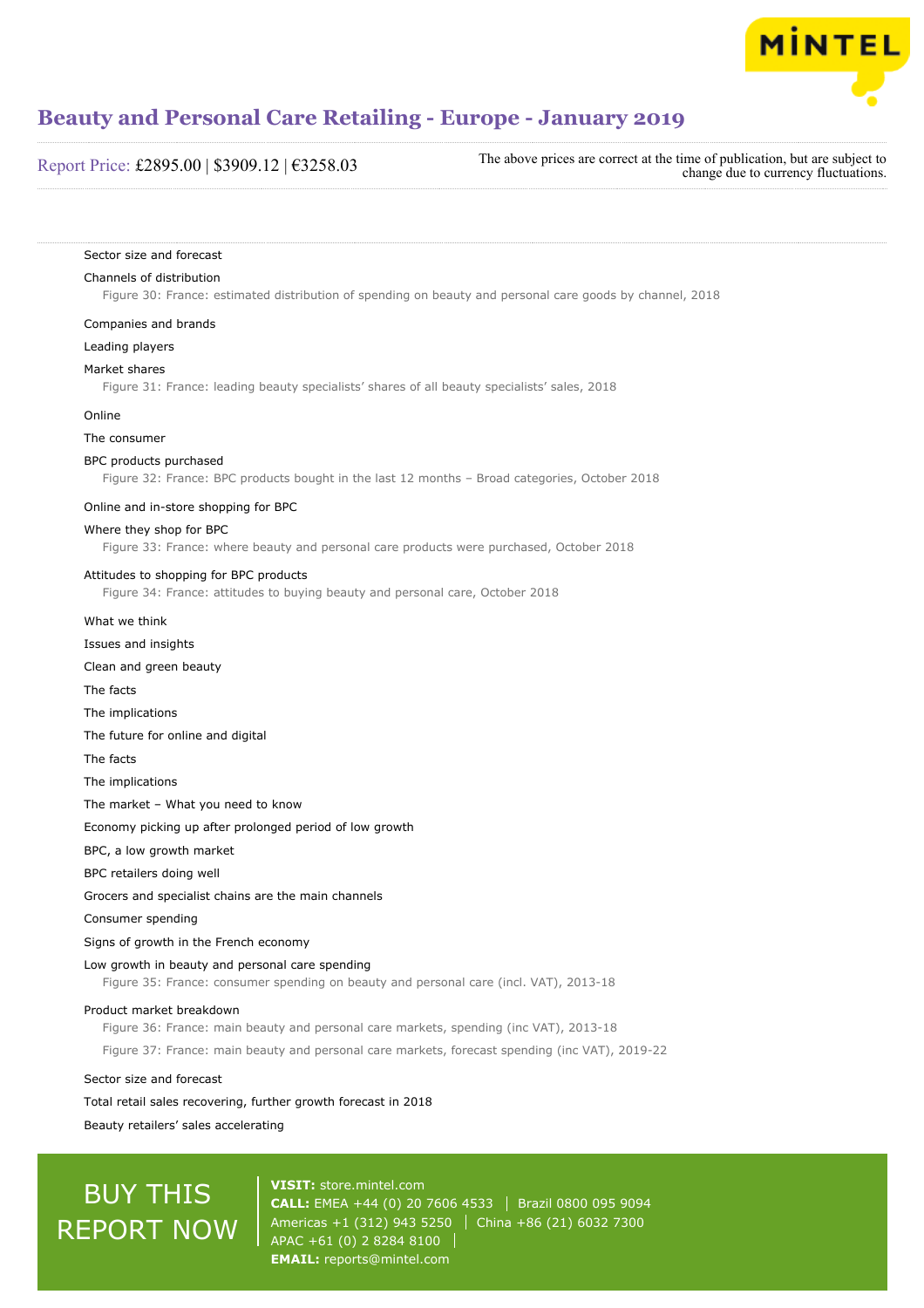

#### Report Price: £2895.00 | \$3909.12 | €3258.03

The above prices are correct at the time of publication, but are subject to change due to currency fluctuations.

#### Sector size and forecast

#### Channels of distribution

Figure 30: France: estimated distribution of spending on beauty and personal care goods by channel, 2018

#### Companies and brands

Leading players

#### Market shares

Figure 31: France: leading beauty specialists' shares of all beauty specialists' sales, 2018

#### Online

The consumer

#### BPC products purchased

Figure 32: France: BPC products bought in the last 12 months – Broad categories, October 2018

#### Online and in-store shopping for BPC

#### Where they shop for BPC

Figure 33: France: where beauty and personal care products were purchased, October 2018

#### Attitudes to shopping for BPC products

Figure 34: France: attitudes to buying beauty and personal care, October 2018

- What we think
- Issues and insights
- Clean and green beauty
- The facts
- The implications
- The future for online and digital
- The facts

The implications

The market – What you need to know

Economy picking up after prolonged period of low growth

BPC, a low growth market

BPC retailers doing well

Grocers and specialist chains are the main channels

Consumer spending

Signs of growth in the French economy

Low growth in beauty and personal care spending

Figure 35: France: consumer spending on beauty and personal care (incl. VAT), 2013-18

#### Product market breakdown

Figure 36: France: main beauty and personal care markets, spending (inc VAT), 2013-18

Figure 37: France: main beauty and personal care markets, forecast spending (inc VAT), 2019-22

Sector size and forecast

Total retail sales recovering, further growth forecast in 2018

Beauty retailers' sales accelerating

## BUY THIS REPORT NOW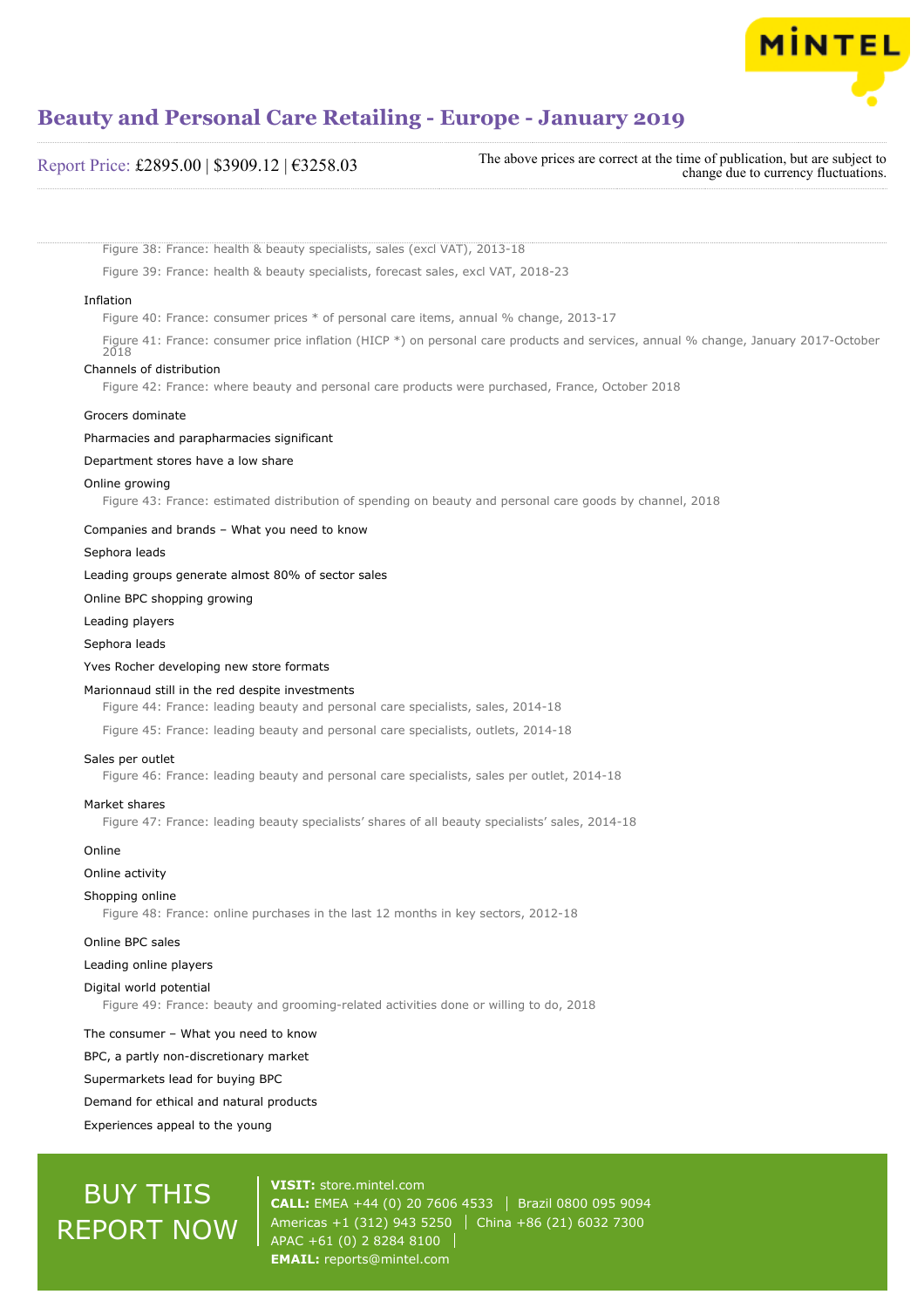

| The above prices are correct at the time of publication, but are subject to<br>change due to currency fluctuations. |
|---------------------------------------------------------------------------------------------------------------------|
|                                                                                                                     |

Figure 38: France: health & beauty specialists, sales (excl VAT), 2013-18

Figure 39: France: health & beauty specialists, forecast sales, excl VAT, 2018-23

#### Inflation

Figure 40: France: consumer prices \* of personal care items, annual % change, 2013-17

Figure 41: France: consumer price inflation (HICP \*) on personal care products and services, annual % change, January 2017-October  $2018$ 

#### Channels of distribution

Figure 42: France: where beauty and personal care products were purchased, France, October 2018

#### Grocers dominate

Pharmacies and parapharmacies significant

#### Department stores have a low share

#### Online growing

Figure 43: France: estimated distribution of spending on beauty and personal care goods by channel, 2018

#### Companies and brands – What you need to know

Sephora leads

#### Leading groups generate almost 80% of sector sales

Online BPC shopping growing

#### Leading players

Sephora leads

#### Yves Rocher developing new store formats

#### Marionnaud still in the red despite investments

Figure 44: France: leading beauty and personal care specialists, sales, 2014-18

Figure 45: France: leading beauty and personal care specialists, outlets, 2014-18

#### Sales per outlet

Figure 46: France: leading beauty and personal care specialists, sales per outlet, 2014-18

#### Market shares

Figure 47: France: leading beauty specialists' shares of all beauty specialists' sales, 2014-18

#### Online

Online activity

#### Shopping online

Figure 48: France: online purchases in the last 12 months in key sectors, 2012-18

Online BPC sales

#### Leading online players

#### Digital world potential

Figure 49: France: beauty and grooming-related activities done or willing to do, 2018

#### The consumer – What you need to know

BPC, a partly non-discretionary market

Supermarkets lead for buying BPC

Demand for ethical and natural products

Experiences appeal to the young

## BUY THIS REPORT NOW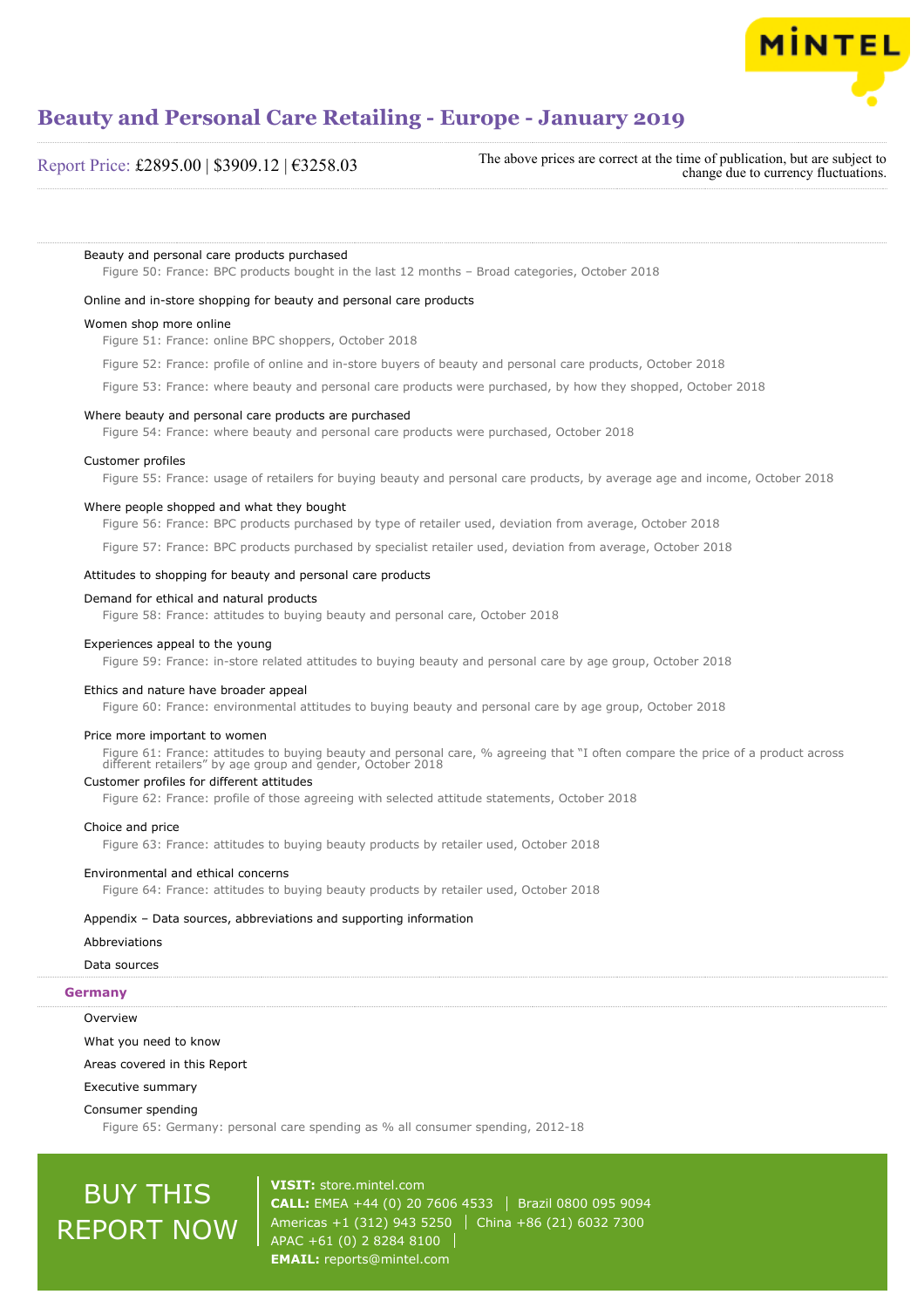

#### Report Price: £2895.00 | \$3909.12 | €3258.03

The above prices are correct at the time of publication, but are subject to change due to currency fluctuations.

#### Beauty and personal care products purchased

Figure 50: France: BPC products bought in the last 12 months – Broad categories, October 2018

#### Online and in-store shopping for beauty and personal care products

#### Women shop more online

Figure 51: France: online BPC shoppers, October 2018

Figure 52: France: profile of online and in-store buyers of beauty and personal care products, October 2018

Figure 53: France: where beauty and personal care products were purchased, by how they shopped, October 2018

#### Where beauty and personal care products are purchased

Figure 54: France: where beauty and personal care products were purchased, October 2018

#### Customer profiles

Figure 55: France: usage of retailers for buying beauty and personal care products, by average age and income, October 2018

#### Where people shopped and what they bought

Figure 56: France: BPC products purchased by type of retailer used, deviation from average, October 2018

Figure 57: France: BPC products purchased by specialist retailer used, deviation from average, October 2018

#### Attitudes to shopping for beauty and personal care products

#### Figure 58: France: attitudes to buying beauty and personal care, October 2018

Demand for ethical and natural products

Experiences appeal to the young

Figure 59: France: in-store related attitudes to buying beauty and personal care by age group, October 2018

#### Ethics and nature have broader appeal

Figure 60: France: environmental attitudes to buying beauty and personal care by age group, October 2018

#### Price more important to women

Figure 61: France: attitudes to buying beauty and personal care, % agreeing that "I often compare the price of a product across different retailers" by age group and gender, October 2018

#### Customer profiles for different attitudes

Figure 62: France: profile of those agreeing with selected attitude statements, October 2018

#### Choice and price

Figure 63: France: attitudes to buying beauty products by retailer used, October 2018

#### Environmental and ethical concerns

Figure 64: France: attitudes to buying beauty products by retailer used, October 2018

#### Appendix – Data sources, abbreviations and supporting information

#### Abbreviations

#### Data sources

#### **Germany**

**Overview** 

What you need to know

#### Areas covered in this Report

Executive summary

#### Consumer spending

Figure 65: Germany: personal care spending as % all consumer spending, 2012-18

## BUY THIS REPORT NOW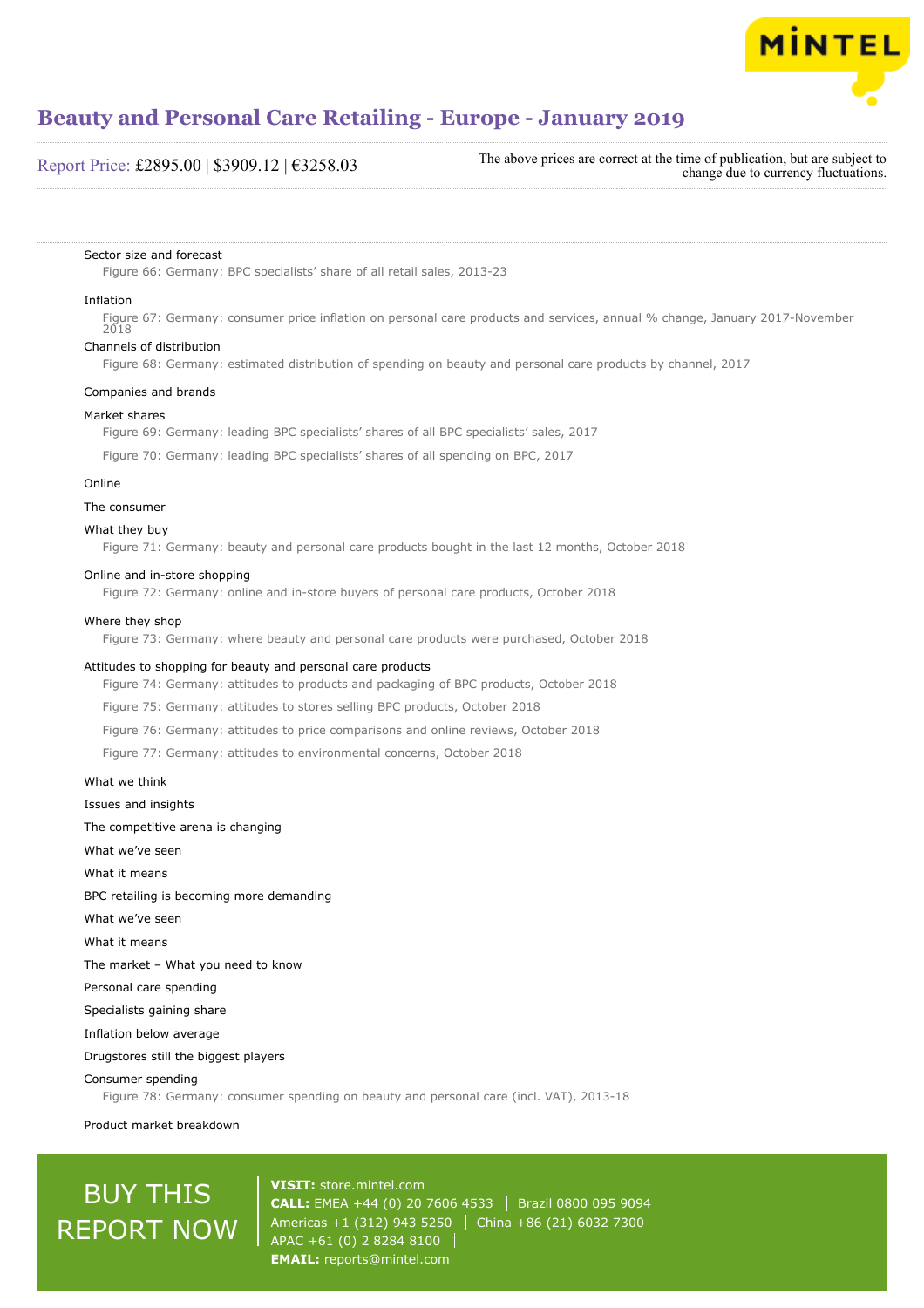

#### Report Price: £2895.00 | \$3909.12 | €3258.03

The above prices are correct at the time of publication, but are subject to change due to currency fluctuations.

#### Sector size and forecast

Figure 66: Germany: BPC specialists' share of all retail sales, 2013-23

#### Inflation

Figure 67: Germany: consumer price inflation on personal care products and services, annual % change, January 2017-November 2018

#### Channels of distribution

Figure 68: Germany: estimated distribution of spending on beauty and personal care products by channel, 2017

#### Companies and brands

#### Market shares

Figure 69: Germany: leading BPC specialists' shares of all BPC specialists' sales, 2017

Figure 70: Germany: leading BPC specialists' shares of all spending on BPC, 2017

#### Online

#### The consumer

#### What they buy

Figure 71: Germany: beauty and personal care products bought in the last 12 months, October 2018

#### Online and in-store shopping

Figure 72: Germany: online and in-store buyers of personal care products, October 2018

#### Where they shop

Figure 73: Germany: where beauty and personal care products were purchased, October 2018

#### Attitudes to shopping for beauty and personal care products

Figure 74: Germany: attitudes to products and packaging of BPC products, October 2018

Figure 75: Germany: attitudes to stores selling BPC products, October 2018

Figure 76: Germany: attitudes to price comparisons and online reviews, October 2018

Figure 77: Germany: attitudes to environmental concerns, October 2018

What we think Issues and insights The competitive arena is changing What we've seen What it means BPC retailing is becoming more demanding What we've seen What it means The market – What you need to know Personal care spending Specialists gaining share Inflation below average Drugstores still the biggest players Consumer spending

Figure 78: Germany: consumer spending on beauty and personal care (incl. VAT), 2013-18

#### Product market breakdown

## BUY THIS REPORT NOW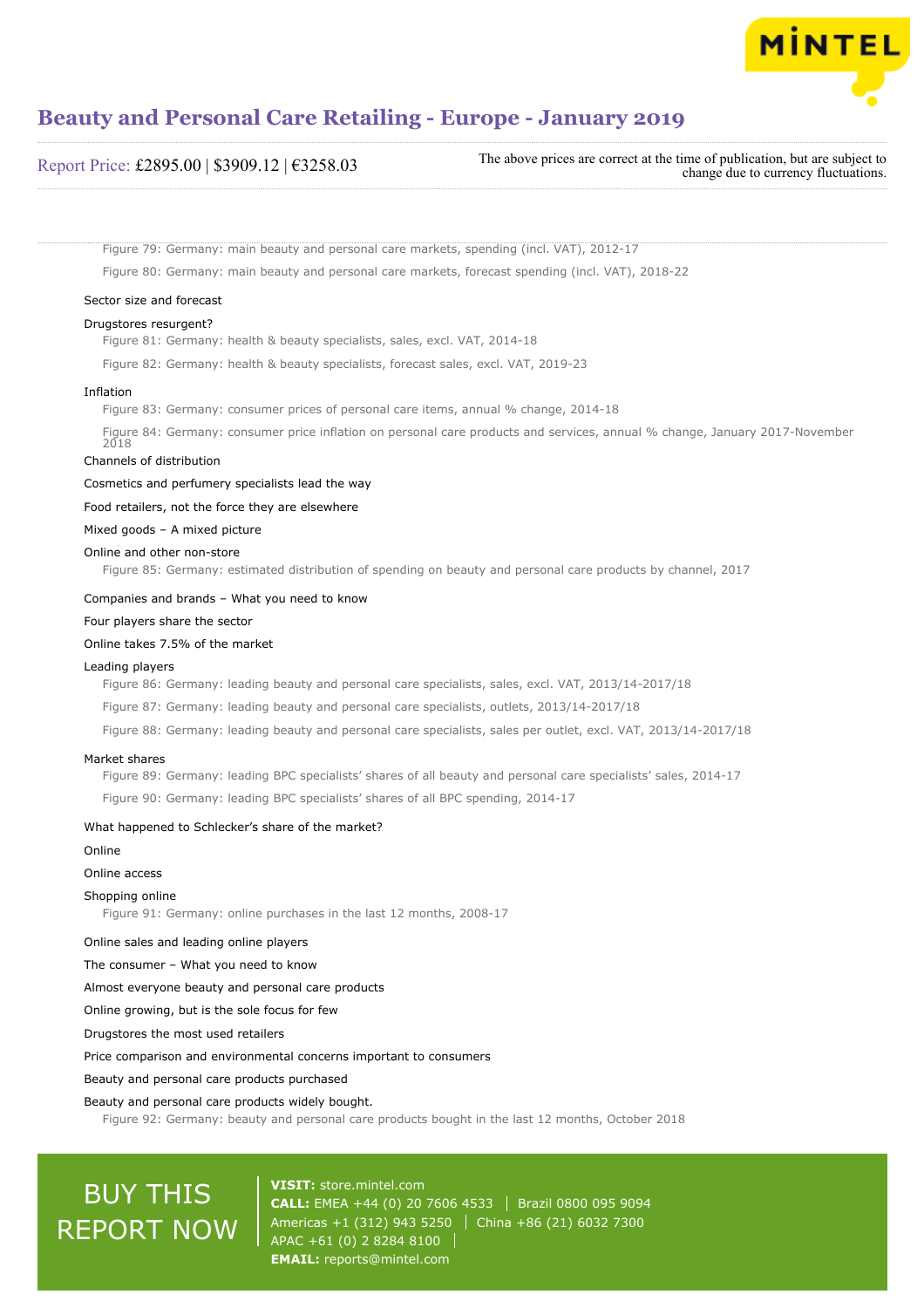

#### Report Price: £2895.00 | \$3909.12 | €3258.03 The above prices are correct at the time of publication, but are subject to change due to currency fluctuations.

Figure 79: Germany: main beauty and personal care markets, spending (incl. VAT), 2012-17 Figure 80: Germany: main beauty and personal care markets, forecast spending (incl. VAT), 2018-22

#### Sector size and forecast

#### Drugstores resurgent?

Figure 81: Germany: health & beauty specialists, sales, excl. VAT, 2014-18

Figure 82: Germany: health & beauty specialists, forecast sales, excl. VAT, 2019-23

#### Inflation

Figure 83: Germany: consumer prices of personal care items, annual % change, 2014-18

Figure 84: Germany: consumer price inflation on personal care products and services, annual % change, January 2017-November 2018

#### Channels of distribution

#### Cosmetics and perfumery specialists lead the way

Food retailers, not the force they are elsewhere

Mixed goods – A mixed picture

#### Online and other non-store

Figure 85: Germany: estimated distribution of spending on beauty and personal care products by channel, 2017

#### Companies and brands – What you need to know

Four players share the sector

#### Online takes 7.5% of the market

#### Leading players

Figure 86: Germany: leading beauty and personal care specialists, sales, excl. VAT, 2013/14-2017/18

Figure 87: Germany: leading beauty and personal care specialists, outlets, 2013/14-2017/18

Figure 88: Germany: leading beauty and personal care specialists, sales per outlet, excl. VAT, 2013/14-2017/18

#### Market shares

Figure 89: Germany: leading BPC specialists' shares of all beauty and personal care specialists' sales, 2014-17 Figure 90: Germany: leading BPC specialists' shares of all BPC spending, 2014-17

#### What happened to Schlecker's share of the market?

Online

#### Online access

#### Shopping online

Figure 91: Germany: online purchases in the last 12 months, 2008-17

Online sales and leading online players

The consumer – What you need to know

Almost everyone beauty and personal care products

Online growing, but is the sole focus for few

Drugstores the most used retailers

Price comparison and environmental concerns important to consumers

Beauty and personal care products purchased

#### Beauty and personal care products widely bought.

Figure 92: Germany: beauty and personal care products bought in the last 12 months, October 2018

## BUY THIS REPORT NOW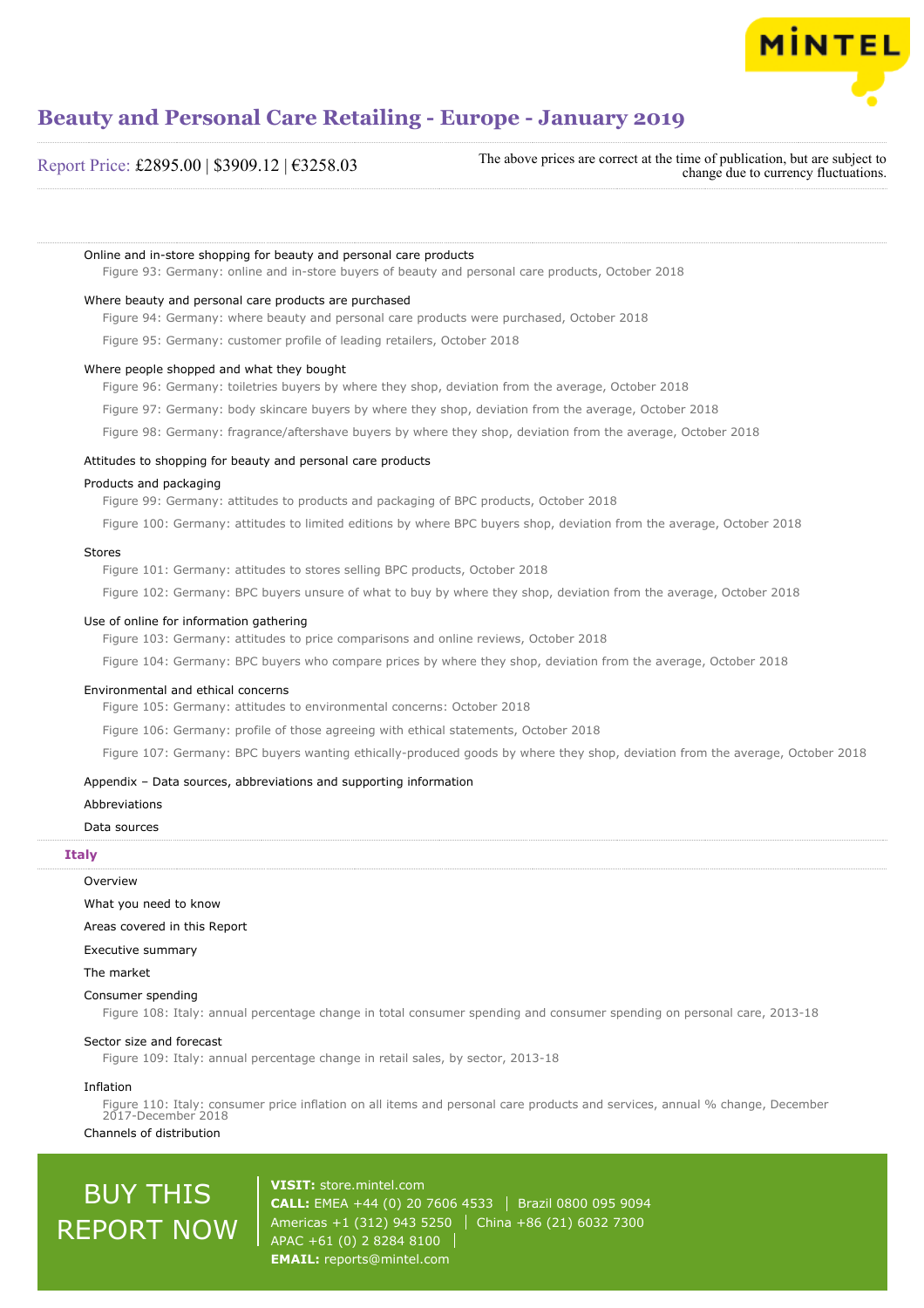

Report Price: £2895.00 | \$3909.12 | €3258.03

The above prices are correct at the time of publication, but are subject to change due to currency fluctuations.

Online and in-store shopping for beauty and personal care products

Figure 93: Germany: online and in-store buyers of beauty and personal care products, October 2018

#### Where beauty and personal care products are purchased

Figure 94: Germany: where beauty and personal care products were purchased, October 2018

Figure 95: Germany: customer profile of leading retailers, October 2018

#### Where people shopped and what they bought

Figure 96: Germany: toiletries buyers by where they shop, deviation from the average, October 2018

Figure 97: Germany: body skincare buyers by where they shop, deviation from the average, October 2018

Figure 98: Germany: fragrance/aftershave buyers by where they shop, deviation from the average, October 2018

#### Attitudes to shopping for beauty and personal care products

#### Products and packaging

Figure 99: Germany: attitudes to products and packaging of BPC products, October 2018

Figure 100: Germany: attitudes to limited editions by where BPC buyers shop, deviation from the average, October 2018

#### Stores

Figure 101: Germany: attitudes to stores selling BPC products, October 2018

Figure 102: Germany: BPC buyers unsure of what to buy by where they shop, deviation from the average, October 2018

#### Use of online for information gathering

Figure 103: Germany: attitudes to price comparisons and online reviews, October 2018

Figure 104: Germany: BPC buyers who compare prices by where they shop, deviation from the average, October 2018

#### Environmental and ethical concerns

Figure 105: Germany: attitudes to environmental concerns: October 2018

Figure 106: Germany: profile of those agreeing with ethical statements, October 2018

Figure 107: Germany: BPC buyers wanting ethically-produced goods by where they shop, deviation from the average, October 2018

#### Appendix – Data sources, abbreviations and supporting information

#### **Abbreviations**

#### Data sources

#### **Italy**

#### Overview

What you need to know

Areas covered in this Report

#### Executive summary

The market

#### Consumer spending

Figure 108: Italy: annual percentage change in total consumer spending and consumer spending on personal care, 2013-18

#### Sector size and forecast

Figure 109: Italy: annual percentage change in retail sales, by sector, 2013-18

#### Inflation

Figure 110: Italy: consumer price inflation on all items and personal care products and services, annual % change, December 2017-December 2018 Channels of distribution

## BUY THIS REPORT NOW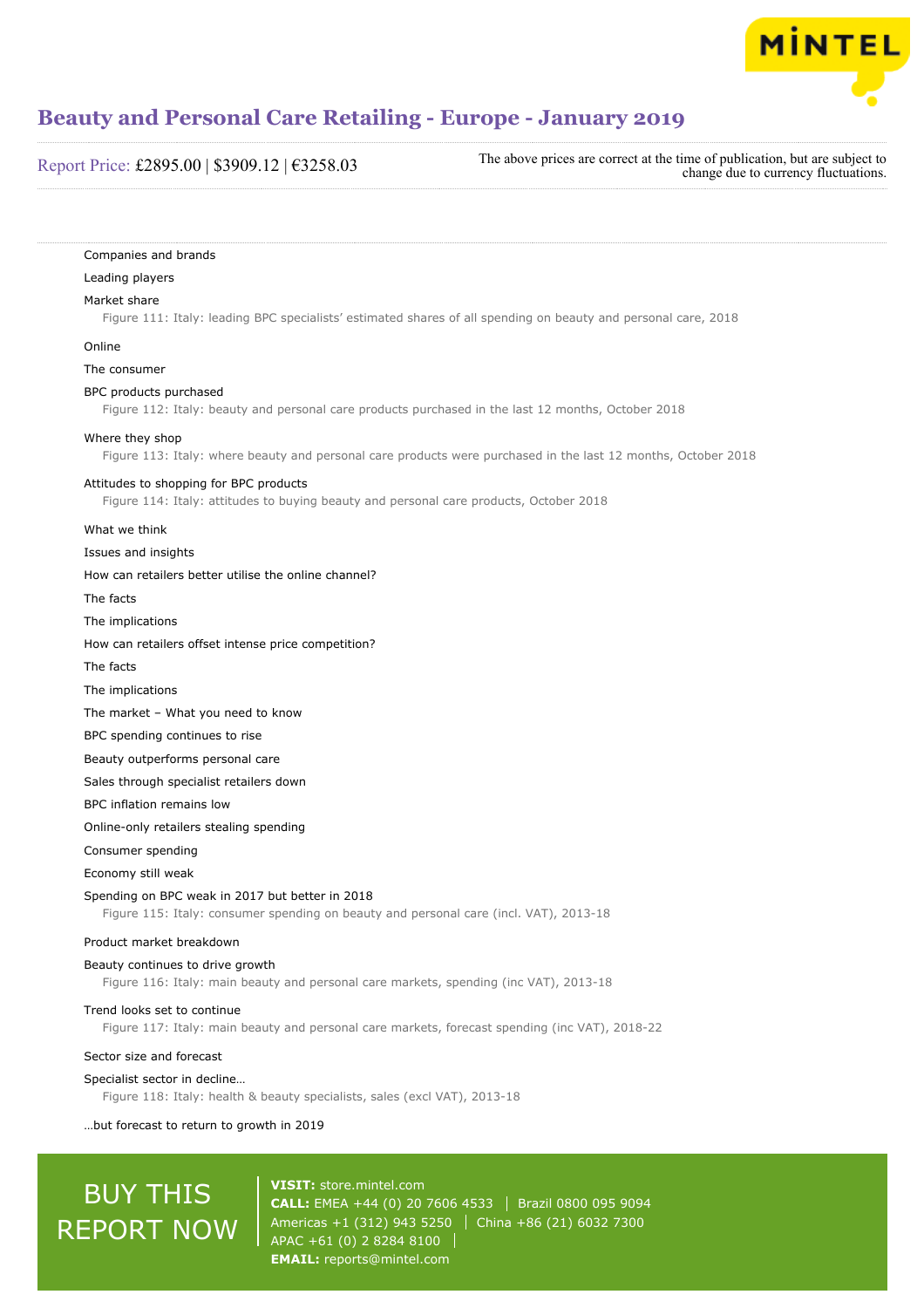

#### Report Price: £2895.00 | \$3909.12 | €3258.03

The above prices are correct at the time of publication, but are subject to change due to currency fluctuations.

Companies and brands Leading players Market share Figure 111: Italy: leading BPC specialists' estimated shares of all spending on beauty and personal care, 2018 Online The consumer BPC products purchased Figure 112: Italy: beauty and personal care products purchased in the last 12 months, October 2018 Where they shop Figure 113: Italy: where beauty and personal care products were purchased in the last 12 months, October 2018 Attitudes to shopping for BPC products Figure 114: Italy: attitudes to buying beauty and personal care products, October 2018 What we think Issues and insights How can retailers better utilise the online channel? The facts The implications How can retailers offset intense price competition? The facts The implications The market – What you need to know BPC spending continues to rise Beauty outperforms personal care Sales through specialist retailers down BPC inflation remains low Online-only retailers stealing spending Consumer spending Economy still weak Spending on BPC weak in 2017 but better in 2018 Figure 115: Italy: consumer spending on beauty and personal care (incl. VAT), 2013-18 Product market breakdown Beauty continues to drive growth Figure 116: Italy: main beauty and personal care markets, spending (inc VAT), 2013-18 Trend looks set to continue Figure 117: Italy: main beauty and personal care markets, forecast spending (inc VAT), 2018-22 Sector size and forecast Specialist sector in decline… Figure 118: Italy: health & beauty specialists, sales (excl VAT), 2013-18

…but forecast to return to growth in 2019

# BUY THIS REPORT NOW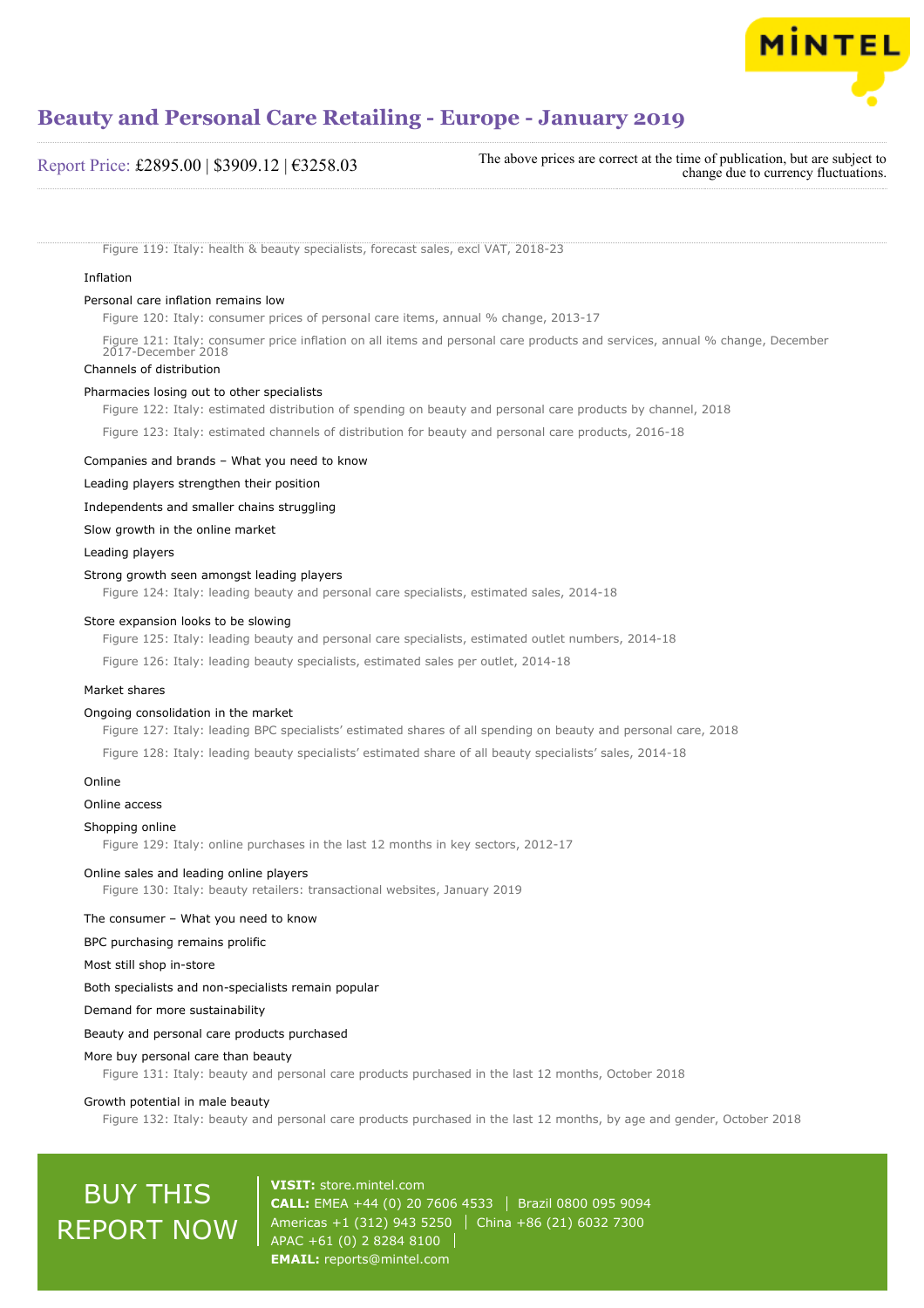

#### Report Price: £2895.00 | \$3909.12 | €3258.03

The above prices are correct at the time of publication, but are subject to change due to currency fluctuations.

Figure 119: Italy: health & beauty specialists, forecast sales, excl VAT, 2018-23

#### Inflation

#### Personal care inflation remains low

Figure 120: Italy: consumer prices of personal care items, annual % change, 2013-17

Figure 121: Italy: consumer price inflation on all items and personal care products and services, annual % change, December 2017-December 2018

#### Channels of distribution

#### Pharmacies losing out to other specialists

Figure 122: Italy: estimated distribution of spending on beauty and personal care products by channel, 2018

Figure 123: Italy: estimated channels of distribution for beauty and personal care products, 2016-18

Companies and brands – What you need to know

Leading players strengthen their position

Independents and smaller chains struggling

Slow growth in the online market

Leading players

#### Strong growth seen amongst leading players

Figure 124: Italy: leading beauty and personal care specialists, estimated sales, 2014-18

#### Store expansion looks to be slowing

Figure 125: Italy: leading beauty and personal care specialists, estimated outlet numbers, 2014-18

Figure 126: Italy: leading beauty specialists, estimated sales per outlet, 2014-18

#### Market shares

#### Ongoing consolidation in the market

Figure 127: Italy: leading BPC specialists' estimated shares of all spending on beauty and personal care, 2018

Figure 128: Italy: leading beauty specialists' estimated share of all beauty specialists' sales, 2014-18

#### Online

#### Online access

#### Shopping online

Figure 129: Italy: online purchases in the last 12 months in key sectors, 2012-17

#### Online sales and leading online players

Figure 130: Italy: beauty retailers: transactional websites, January 2019

#### The consumer – What you need to know

BPC purchasing remains prolific

Most still shop in-store

#### Both specialists and non-specialists remain popular

Demand for more sustainability

#### Beauty and personal care products purchased

#### More buy personal care than beauty

Figure 131: Italy: beauty and personal care products purchased in the last 12 months, October 2018

#### Growth potential in male beauty

Figure 132: Italy: beauty and personal care products purchased in the last 12 months, by age and gender, October 2018

## BUY THIS REPORT NOW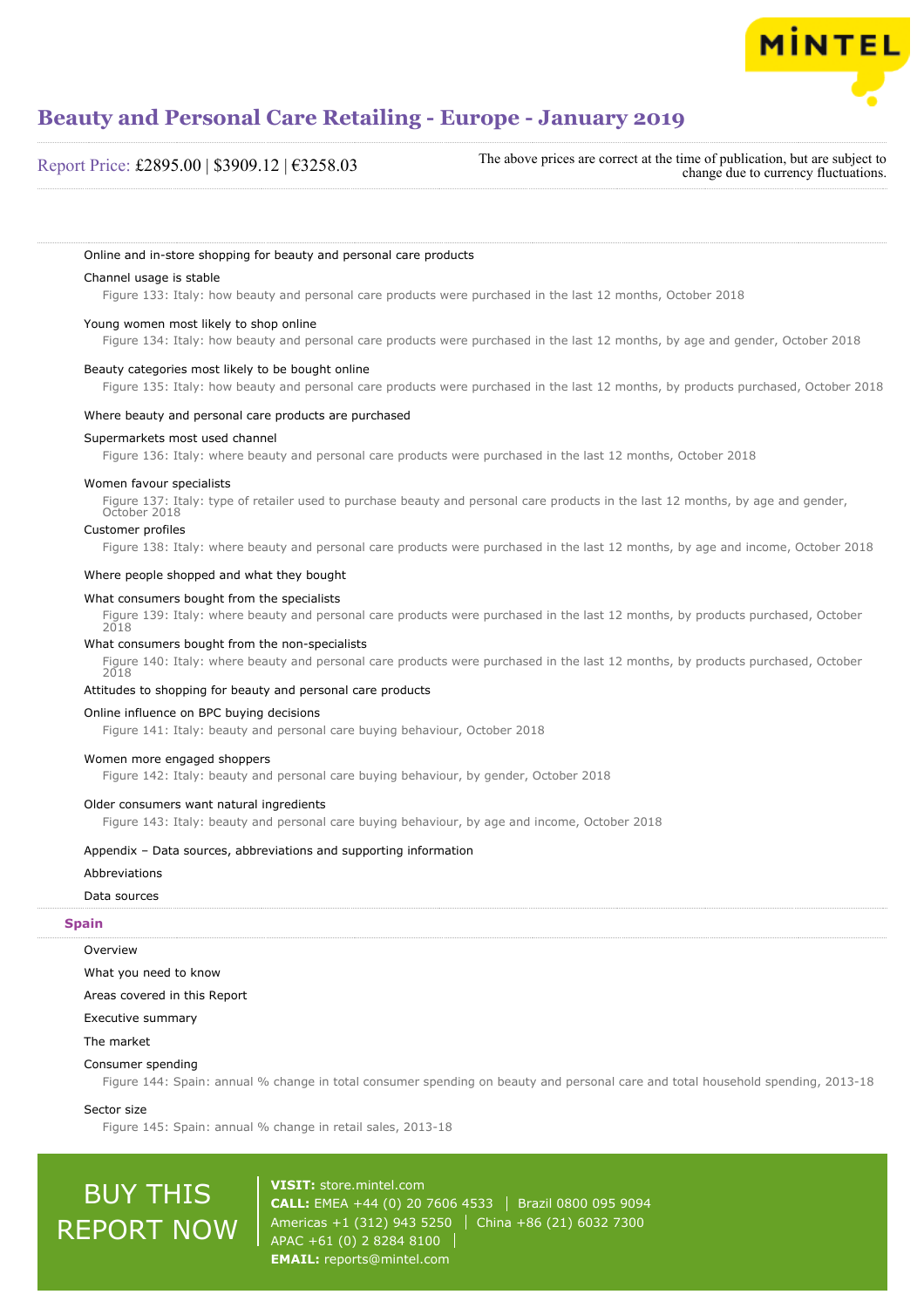

#### Report Price: £2895.00 | \$3909.12 | €3258.03

The above prices are correct at the time of publication, but are subject to change due to currency fluctuations.

#### Online and in-store shopping for beauty and personal care products

#### Channel usage is stable

Figure 133: Italy: how beauty and personal care products were purchased in the last 12 months, October 2018

#### Young women most likely to shop online

Figure 134: Italy: how beauty and personal care products were purchased in the last 12 months, by age and gender, October 2018

#### Beauty categories most likely to be bought online

Figure 135: Italy: how beauty and personal care products were purchased in the last 12 months, by products purchased, October 2018

#### Where beauty and personal care products are purchased

#### Supermarkets most used channel

Figure 136: Italy: where beauty and personal care products were purchased in the last 12 months, October 2018

#### Women favour specialists

Figure 137: Italy: type of retailer used to purchase beauty and personal care products in the last 12 months, by age and gender, October 2018

#### Customer profiles

Figure 138: Italy: where beauty and personal care products were purchased in the last 12 months, by age and income, October 2018

#### Where people shopped and what they bought

#### What consumers bought from the specialists

Figure 139: Italy: where beauty and personal care products were purchased in the last 12 months, by products purchased, October  $2018$ 

#### What consumers bought from the non-specialists

Figure 140: Italy: where beauty and personal care products were purchased in the last 12 months, by products purchased, October 2018

#### Attitudes to shopping for beauty and personal care products

#### Online influence on BPC buying decisions

Figure 141: Italy: beauty and personal care buying behaviour, October 2018

#### Women more engaged shoppers

Figure 142: Italy: beauty and personal care buying behaviour, by gender, October 2018

#### Older consumers want natural ingredients

Figure 143: Italy: beauty and personal care buying behaviour, by age and income, October 2018

#### Appendix – Data sources, abbreviations and supporting information

#### Abbreviations

#### Data sources

**Overview** 

### **Spain**

What you need to know

Areas covered in this Report

#### Executive summary

#### The market

#### Consumer spending

Figure 144: Spain: annual % change in total consumer spending on beauty and personal care and total household spending, 2013-18

#### Sector size

Figure 145: Spain: annual % change in retail sales, 2013-18

# BUY THIS REPORT NOW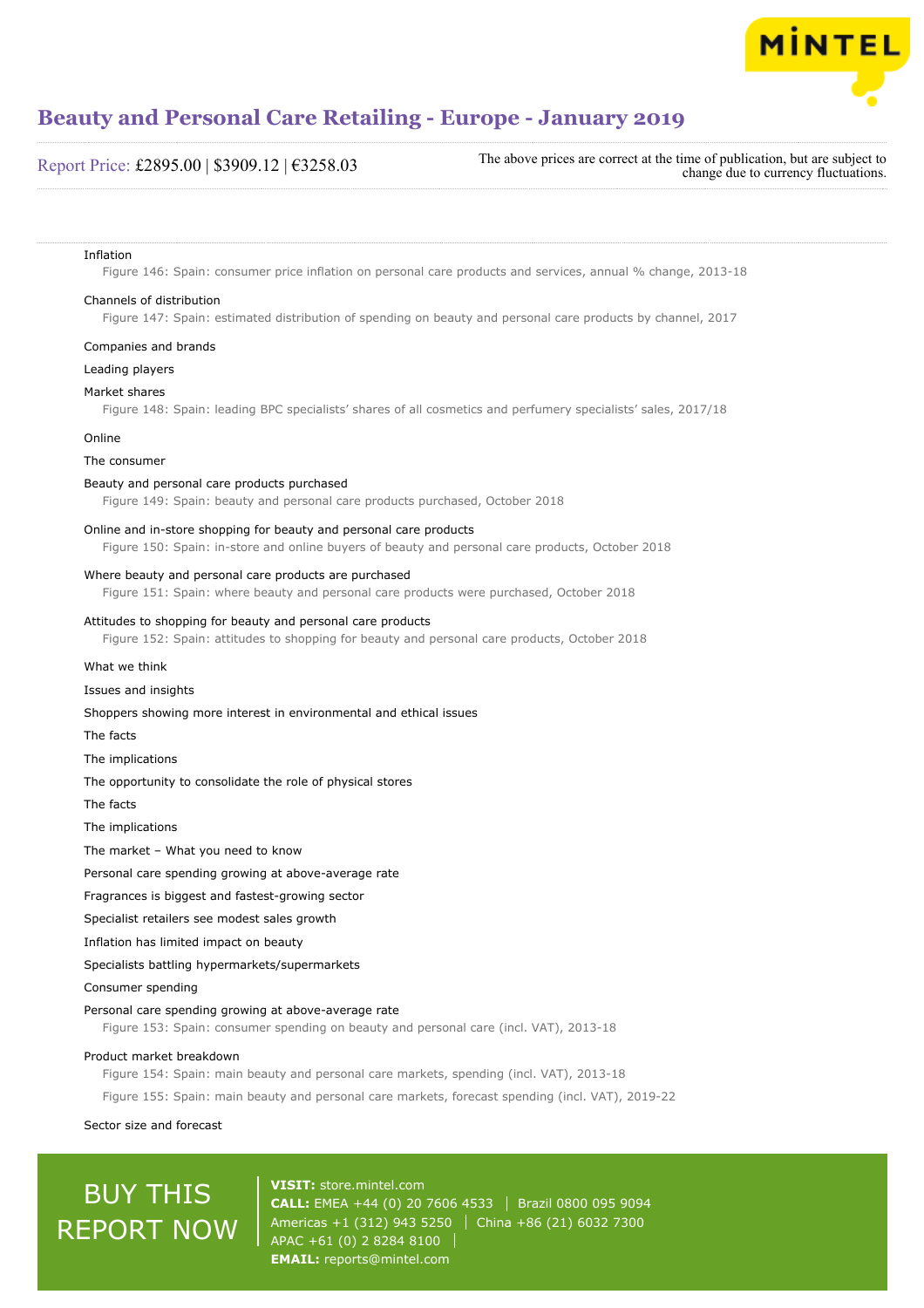

### Report Price: £2895.00 | \$3909.12 | €3258.03

The above prices are correct at the time of publication, but are subject to change due to currency fluctuations.

#### Inflation

Figure 146: Spain: consumer price inflation on personal care products and services, annual % change, 2013-18

#### Channels of distribution

Figure 147: Spain: estimated distribution of spending on beauty and personal care products by channel, 2017

#### Companies and brands

Leading players

#### Market shares

Figure 148: Spain: leading BPC specialists' shares of all cosmetics and perfumery specialists' sales, 2017/18

#### Online

#### The consumer

#### Beauty and personal care products purchased

Figure 149: Spain: beauty and personal care products purchased, October 2018

#### Online and in-store shopping for beauty and personal care products

Figure 150: Spain: in-store and online buyers of beauty and personal care products, October 2018

#### Where beauty and personal care products are purchased

Figure 151: Spain: where beauty and personal care products were purchased, October 2018

#### Attitudes to shopping for beauty and personal care products

Figure 152: Spain: attitudes to shopping for beauty and personal care products, October 2018

#### What we think

#### Issues and insights

Shoppers showing more interest in environmental and ethical issues

The facts

The implications

The opportunity to consolidate the role of physical stores

The facts

The implications

The market – What you need to know

Personal care spending growing at above-average rate

Fragrances is biggest and fastest-growing sector

Specialist retailers see modest sales growth

Inflation has limited impact on beauty

Specialists battling hypermarkets/supermarkets

#### Consumer spending

#### Personal care spending growing at above-average rate

Figure 153: Spain: consumer spending on beauty and personal care (incl. VAT), 2013-18

#### Product market breakdown

Figure 154: Spain: main beauty and personal care markets, spending (incl. VAT), 2013-18

Figure 155: Spain: main beauty and personal care markets, forecast spending (incl. VAT), 2019-22

Sector size and forecast

## BUY THIS REPORT NOW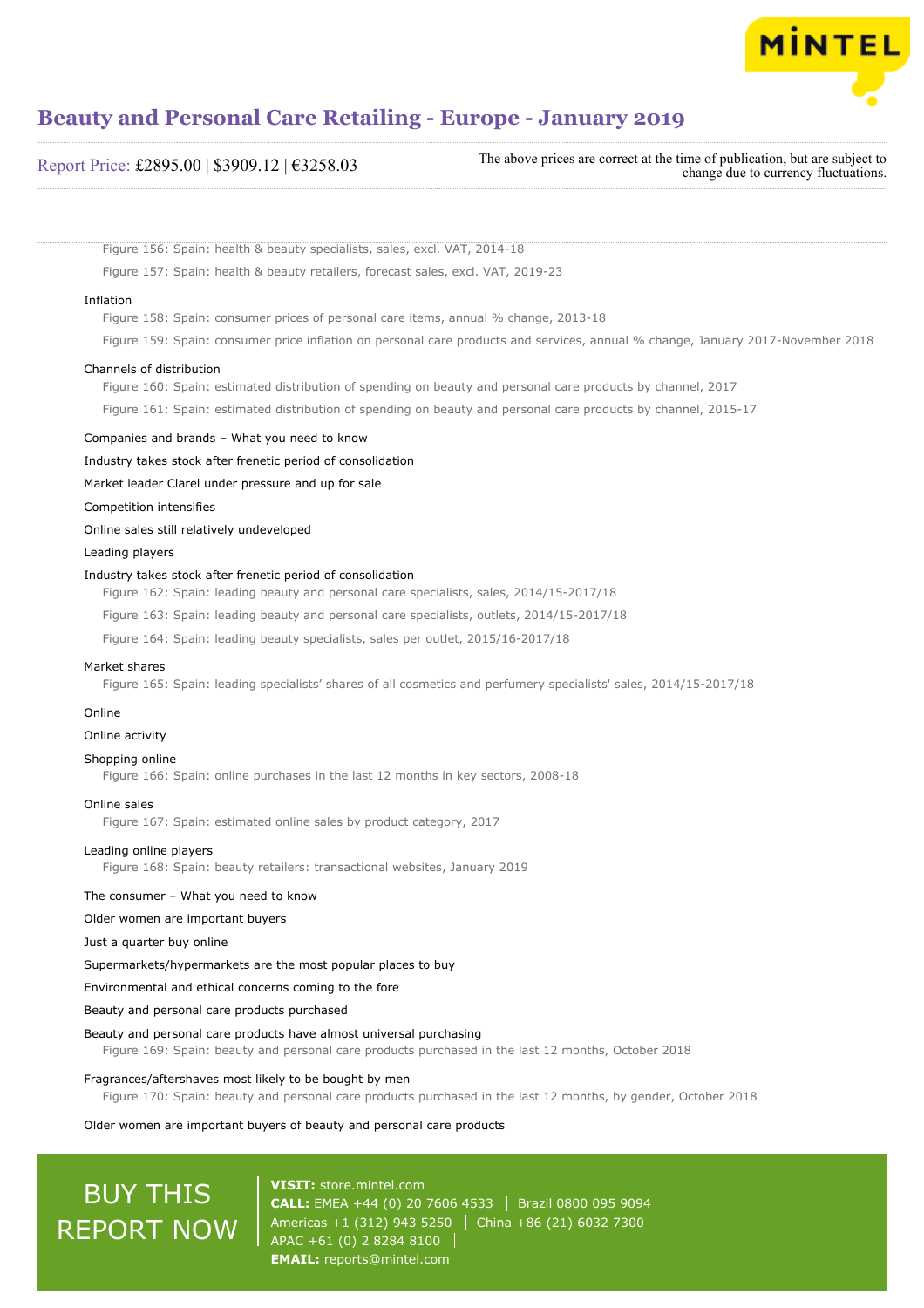

#### Report Price: £2895.00 | \$3909.12 | €3258.03

The above prices are correct at the time of publication, but are subject to change due to currency fluctuations.

Figure 156: Spain: health & beauty specialists, sales, excl. VAT, 2014-18

Figure 157: Spain: health & beauty retailers, forecast sales, excl. VAT, 2019-23

#### Inflation

Figure 158: Spain: consumer prices of personal care items, annual % change, 2013-18

Figure 159: Spain: consumer price inflation on personal care products and services, annual % change, January 2017-November 2018

#### Channels of distribution

Figure 160: Spain: estimated distribution of spending on beauty and personal care products by channel, 2017

Figure 161: Spain: estimated distribution of spending on beauty and personal care products by channel, 2015-17

#### Companies and brands – What you need to know

Industry takes stock after frenetic period of consolidation

Market leader Clarel under pressure and up for sale

Competition intensifies

Online sales still relatively undeveloped

Leading players

#### Industry takes stock after frenetic period of consolidation

Figure 162: Spain: leading beauty and personal care specialists, sales, 2014/15-2017/18

Figure 163: Spain: leading beauty and personal care specialists, outlets, 2014/15-2017/18

Figure 164: Spain: leading beauty specialists, sales per outlet, 2015/16-2017/18

#### Market shares

Figure 165: Spain: leading specialists' shares of all cosmetics and perfumery specialists' sales, 2014/15-2017/18

#### Online

#### Online activity

Shopping online

Figure 166: Spain: online purchases in the last 12 months in key sectors, 2008-18

#### Online sales

Figure 167: Spain: estimated online sales by product category, 2017

#### Leading online players

Figure 168: Spain: beauty retailers: transactional websites, January 2019

#### The consumer – What you need to know

Older women are important buyers

Just a quarter buy online

Supermarkets/hypermarkets are the most popular places to buy

Environmental and ethical concerns coming to the fore

Beauty and personal care products purchased

#### Beauty and personal care products have almost universal purchasing

Figure 169: Spain: beauty and personal care products purchased in the last 12 months, October 2018

#### Fragrances/aftershaves most likely to be bought by men

Figure 170: Spain: beauty and personal care products purchased in the last 12 months, by gender, October 2018

Older women are important buyers of beauty and personal care products

## BUY THIS REPORT NOW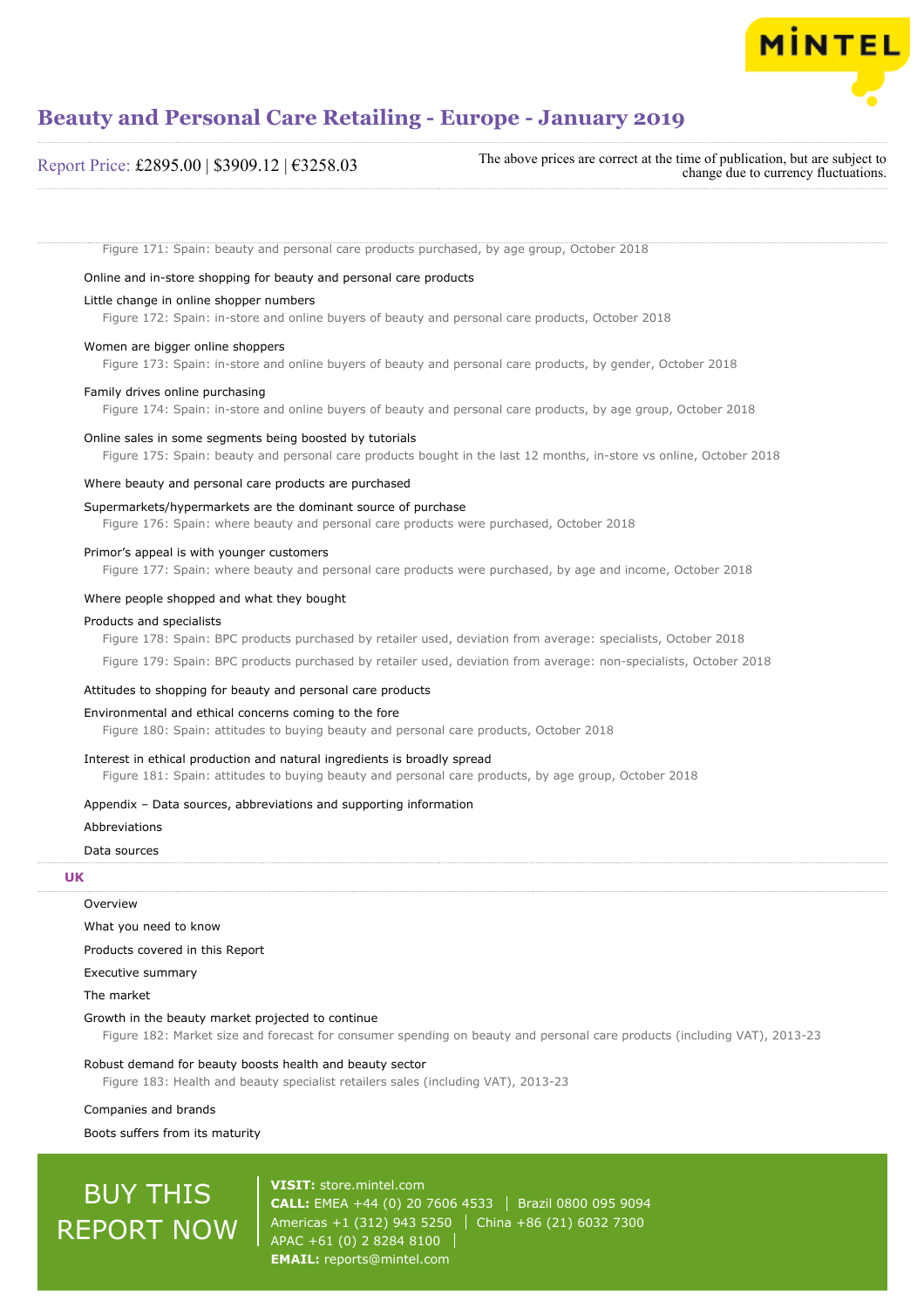

### Report Price: £2895.00 | \$3909.12 | €3258.03

The above prices are correct at the time of publication, but are subject to change due to currency fluctuations.

Figure 171: Spain: beauty and personal care products purchased, by age group, October 2018

#### Online and in-store shopping for beauty and personal care products

#### Little change in online shopper numbers

Figure 172: Spain: in-store and online buyers of beauty and personal care products, October 2018

#### Women are bigger online shoppers

Figure 173: Spain: in-store and online buyers of beauty and personal care products, by gender, October 2018

#### Family drives online purchasing

Figure 174: Spain: in-store and online buyers of beauty and personal care products, by age group, October 2018

#### Online sales in some segments being boosted by tutorials

Figure 175: Spain: beauty and personal care products bought in the last 12 months, in-store vs online, October 2018

#### Where beauty and personal care products are purchased

#### Supermarkets/hypermarkets are the dominant source of purchase

Figure 176: Spain: where beauty and personal care products were purchased, October 2018

#### Primor's appeal is with younger customers

Figure 177: Spain: where beauty and personal care products were purchased, by age and income, October 2018

#### Where people shopped and what they bought

#### Products and specialists

Figure 178: Spain: BPC products purchased by retailer used, deviation from average: specialists, October 2018

Figure 179: Spain: BPC products purchased by retailer used, deviation from average: non-specialists, October 2018

#### Attitudes to shopping for beauty and personal care products

#### Environmental and ethical concerns coming to the fore

Figure 180: Spain: attitudes to buying beauty and personal care products, October 2018

#### Interest in ethical production and natural ingredients is broadly spread

Figure 181: Spain: attitudes to buying beauty and personal care products, by age group, October 2018

#### Appendix – Data sources, abbreviations and supporting information

#### Abbreviations

#### Data sources

#### **UK**

**Overview** 

What you need to know

Products covered in this Report

Executive summary

The market

#### Growth in the beauty market projected to continue

Figure 182: Market size and forecast for consumer spending on beauty and personal care products (including VAT), 2013-23

#### Robust demand for beauty boosts health and beauty sector

Figure 183: Health and beauty specialist retailers sales (including VAT), 2013-23

Companies and brands

Boots suffers from its maturity

## BUY THIS REPORT NOW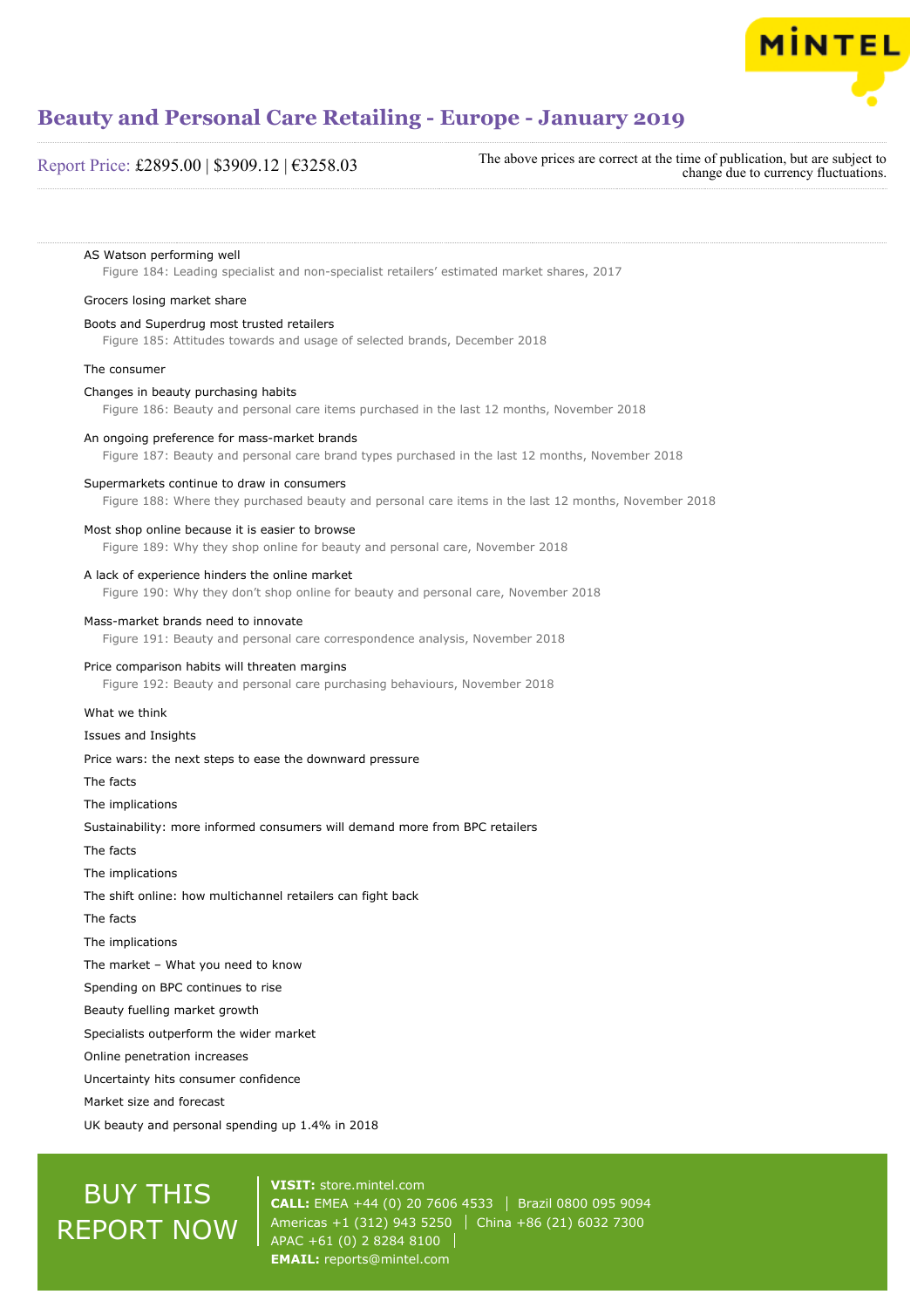

#### Report Price: £2895.00 | \$3909.12 | €3258.03

The above prices are correct at the time of publication, but are subject to change due to currency fluctuations.

#### AS Watson performing well

Figure 184: Leading specialist and non-specialist retailers' estimated market shares, 2017

#### Grocers losing market share

#### Boots and Superdrug most trusted retailers

Figure 185: Attitudes towards and usage of selected brands, December 2018

#### The consumer

#### Changes in beauty purchasing habits

Figure 186: Beauty and personal care items purchased in the last 12 months, November 2018

#### An ongoing preference for mass-market brands

Figure 187: Beauty and personal care brand types purchased in the last 12 months, November 2018

#### Supermarkets continue to draw in consumers

Figure 188: Where they purchased beauty and personal care items in the last 12 months, November 2018

#### Most shop online because it is easier to browse

Figure 189: Why they shop online for beauty and personal care, November 2018

#### A lack of experience hinders the online market

Figure 190: Why they don't shop online for beauty and personal care, November 2018

#### Mass-market brands need to innovate

Figure 191: Beauty and personal care correspondence analysis, November 2018

#### Price comparison habits will threaten margins

Figure 192: Beauty and personal care purchasing behaviours, November 2018

#### What we think

#### Issues and Insights

#### Price wars: the next steps to ease the downward pressure

The facts

The implications

Sustainability: more informed consumers will demand more from BPC retailers

The facts

The implications

The shift online: how multichannel retailers can fight back

The facts

The implications

The market – What you need to know

Spending on BPC continues to rise

Beauty fuelling market growth

Specialists outperform the wider market

Online penetration increases

Uncertainty hits consumer confidence

Market size and forecast

UK beauty and personal spending up 1.4% in 2018

## BUY THIS REPORT NOW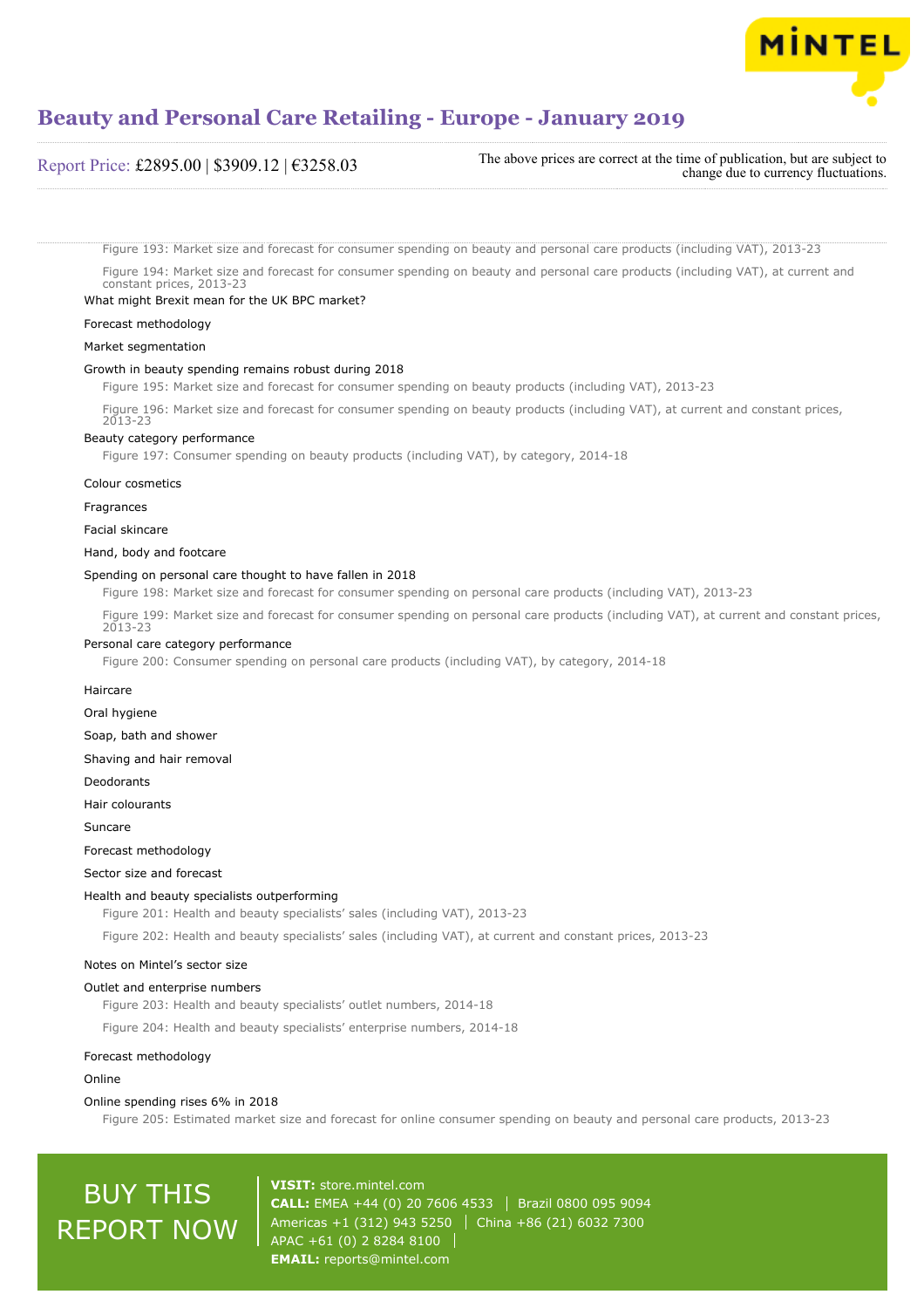

Report Price: £2895.00 | \$3909.12 | €3258.03 The above prices are correct at the time of publication, but are subject to change due to currency fluctuations.

Figure 193: Market size and forecast for consumer spending on beauty and personal care products (including VAT), 2013-23

Figure 194: Market size and forecast for consumer spending on beauty and personal care products (including VAT), at current and constant prices, 2013-23

#### What might Brexit mean for the UK BPC market?

Forecast methodology

#### Market segmentation

#### Growth in beauty spending remains robust during 2018

Figure 195: Market size and forecast for consumer spending on beauty products (including VAT), 2013-23

Figure 196: Market size and forecast for consumer spending on beauty products (including VAT), at current and constant prices, 2013-23

#### Beauty category performance

Figure 197: Consumer spending on beauty products (including VAT), by category, 2014-18

#### Colour cosmetics

Fragrances

Facial skincare

#### Hand, body and footcare

#### Spending on personal care thought to have fallen in 2018

Figure 198: Market size and forecast for consumer spending on personal care products (including VAT), 2013-23

Figure 199: Market size and forecast for consumer spending on personal care products (including VAT), at current and constant prices, 2013-23

#### Personal care category performance

Figure 200: Consumer spending on personal care products (including VAT), by category, 2014-18

#### Haircare

Oral hygiene

Soap, bath and shower

Shaving and hair removal

Deodorants

Hair colourants

Suncare

#### Forecast methodology

Sector size and forecast

#### Health and beauty specialists outperforming

Figure 201: Health and beauty specialists' sales (including VAT), 2013-23

Figure 202: Health and beauty specialists' sales (including VAT), at current and constant prices, 2013-23

#### Notes on Mintel's sector size

#### Outlet and enterprise numbers

Figure 203: Health and beauty specialists' outlet numbers, 2014-18

Figure 204: Health and beauty specialists' enterprise numbers, 2014-18

#### Forecast methodology

#### Online

#### Online spending rises 6% in 2018

Figure 205: Estimated market size and forecast for online consumer spending on beauty and personal care products, 2013-23

## BUY THIS REPORT NOW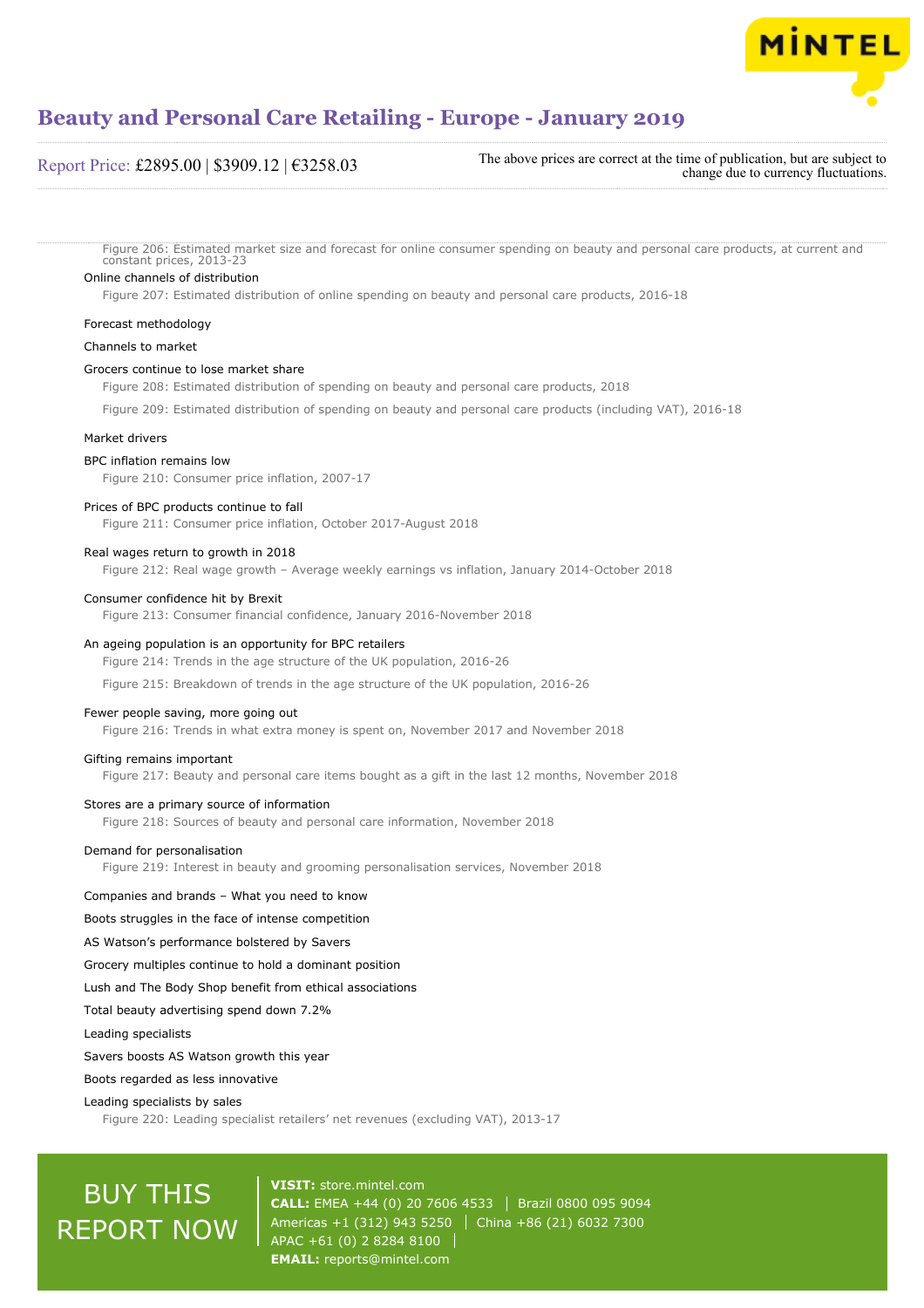

#### Report Price: £2895.00 | \$3909.12 | €3258.03

The above prices are correct at the time of publication, but are subject to change due to currency fluctuations.

Figure 206: Estimated market size and forecast for online consumer spending on beauty and personal care products, at current and constant prices, 2013-23

#### Online channels of distribution

Figure 207: Estimated distribution of online spending on beauty and personal care products, 2016-18

#### Forecast methodology

#### Channels to market

#### Grocers continue to lose market share

Figure 208: Estimated distribution of spending on beauty and personal care products, 2018

Figure 209: Estimated distribution of spending on beauty and personal care products (including VAT), 2016-18

#### Market drivers

#### BPC inflation remains low

Figure 210: Consumer price inflation, 2007-17

#### Prices of BPC products continue to fall

Figure 211: Consumer price inflation, October 2017-August 2018

#### Real wages return to growth in 2018

Figure 212: Real wage growth – Average weekly earnings vs inflation, January 2014-October 2018

#### Consumer confidence hit by Brexit

Figure 213: Consumer financial confidence, January 2016-November 2018

#### An ageing population is an opportunity for BPC retailers

Figure 214: Trends in the age structure of the UK population, 2016-26

Figure 215: Breakdown of trends in the age structure of the UK population, 2016-26

#### Fewer people saving, more going out

Figure 216: Trends in what extra money is spent on, November 2017 and November 2018

#### Gifting remains important

Figure 217: Beauty and personal care items bought as a gift in the last 12 months, November 2018

#### Stores are a primary source of information

Figure 218: Sources of beauty and personal care information, November 2018

#### Demand for personalisation

Figure 219: Interest in beauty and grooming personalisation services, November 2018

#### Companies and brands – What you need to know

#### Boots struggles in the face of intense competition

AS Watson's performance bolstered by Savers

Grocery multiples continue to hold a dominant position

#### Lush and The Body Shop benefit from ethical associations

Total beauty advertising spend down 7.2%

Leading specialists

#### Savers boosts AS Watson growth this year

Boots regarded as less innovative

#### Leading specialists by sales

Figure 220: Leading specialist retailers' net revenues (excluding VAT), 2013-17

## BUY THIS REPORT NOW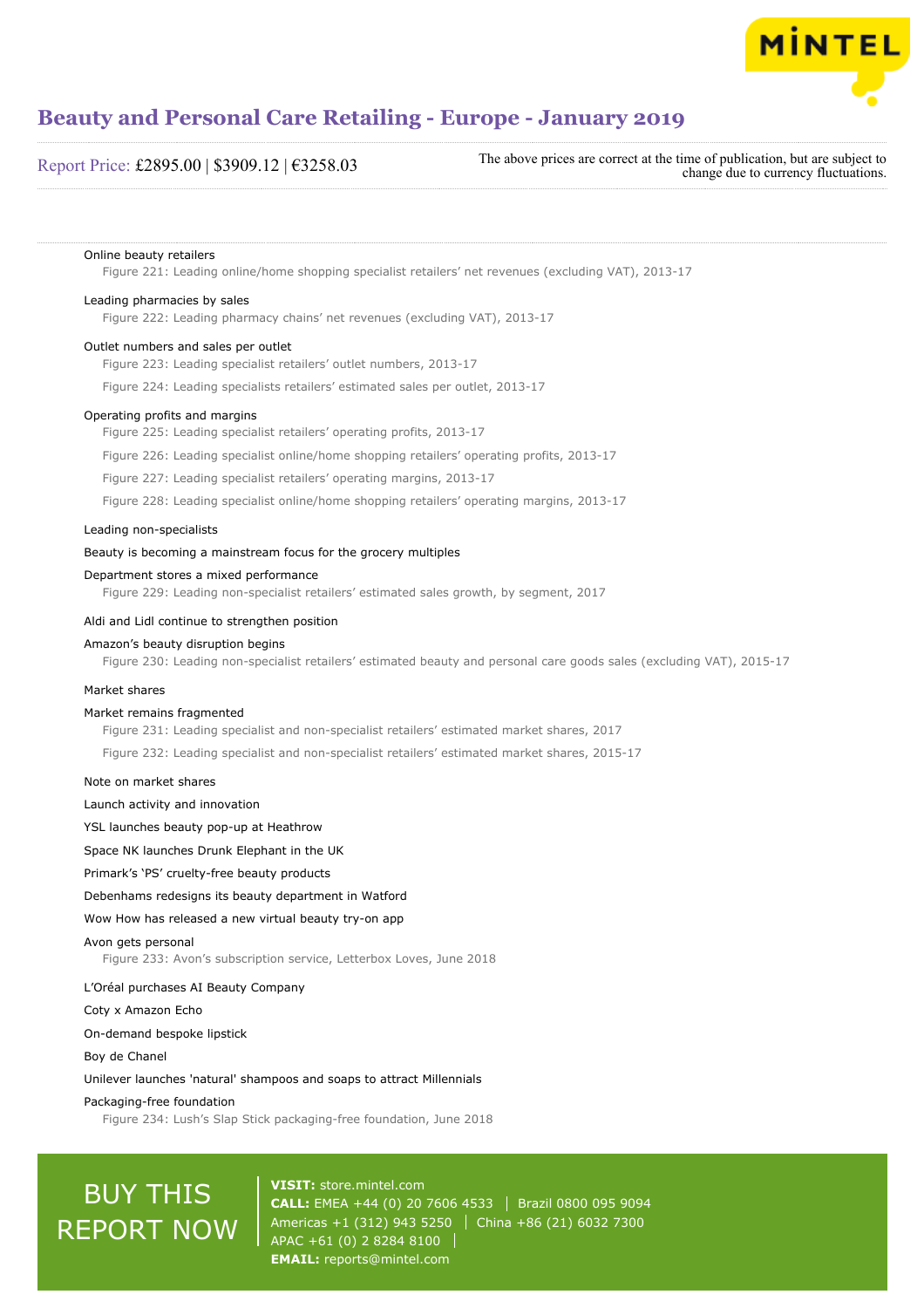

#### Report Price: £2895.00 | \$3909.12 | €3258.03

The above prices are correct at the time of publication, but are subject to change due to currency fluctuations.

#### Online beauty retailers

Figure 221: Leading online/home shopping specialist retailers' net revenues (excluding VAT), 2013-17

#### Leading pharmacies by sales

Figure 222: Leading pharmacy chains' net revenues (excluding VAT), 2013-17

#### Outlet numbers and sales per outlet

Figure 223: Leading specialist retailers' outlet numbers, 2013-17

Figure 224: Leading specialists retailers' estimated sales per outlet, 2013-17

#### Operating profits and margins

Figure 225: Leading specialist retailers' operating profits, 2013-17

Figure 226: Leading specialist online/home shopping retailers' operating profits, 2013-17

Figure 227: Leading specialist retailers' operating margins, 2013-17

Figure 228: Leading specialist online/home shopping retailers' operating margins, 2013-17

#### Leading non-specialists

#### Beauty is becoming a mainstream focus for the grocery multiples

#### Department stores a mixed performance

Figure 229: Leading non-specialist retailers' estimated sales growth, by segment, 2017

#### Aldi and Lidl continue to strengthen position

#### Amazon's beauty disruption begins

Figure 230: Leading non-specialist retailers' estimated beauty and personal care goods sales (excluding VAT), 2015-17

#### Market shares

#### Market remains fragmented

Figure 231: Leading specialist and non-specialist retailers' estimated market shares, 2017 Figure 232: Leading specialist and non-specialist retailers' estimated market shares, 2015-17

#### Note on market shares

Launch activity and innovation

YSL launches beauty pop-up at Heathrow

Space NK launches Drunk Elephant in the UK

#### Primark's 'PS' cruelty-free beauty products

Debenhams redesigns its beauty department in Watford

#### Wow How has released a new virtual beauty try-on app

#### Avon gets personal

Figure 233: Avon's subscription service, Letterbox Loves, June 2018

#### L'Oréal purchases AI Beauty Company

Coty x Amazon Echo

On-demand bespoke lipstick

#### Boy de Chanel

Unilever launches 'natural' shampoos and soaps to attract Millennials

#### Packaging-free foundation

Figure 234: Lush's Slap Stick packaging-free foundation, June 2018

## BUY THIS REPORT NOW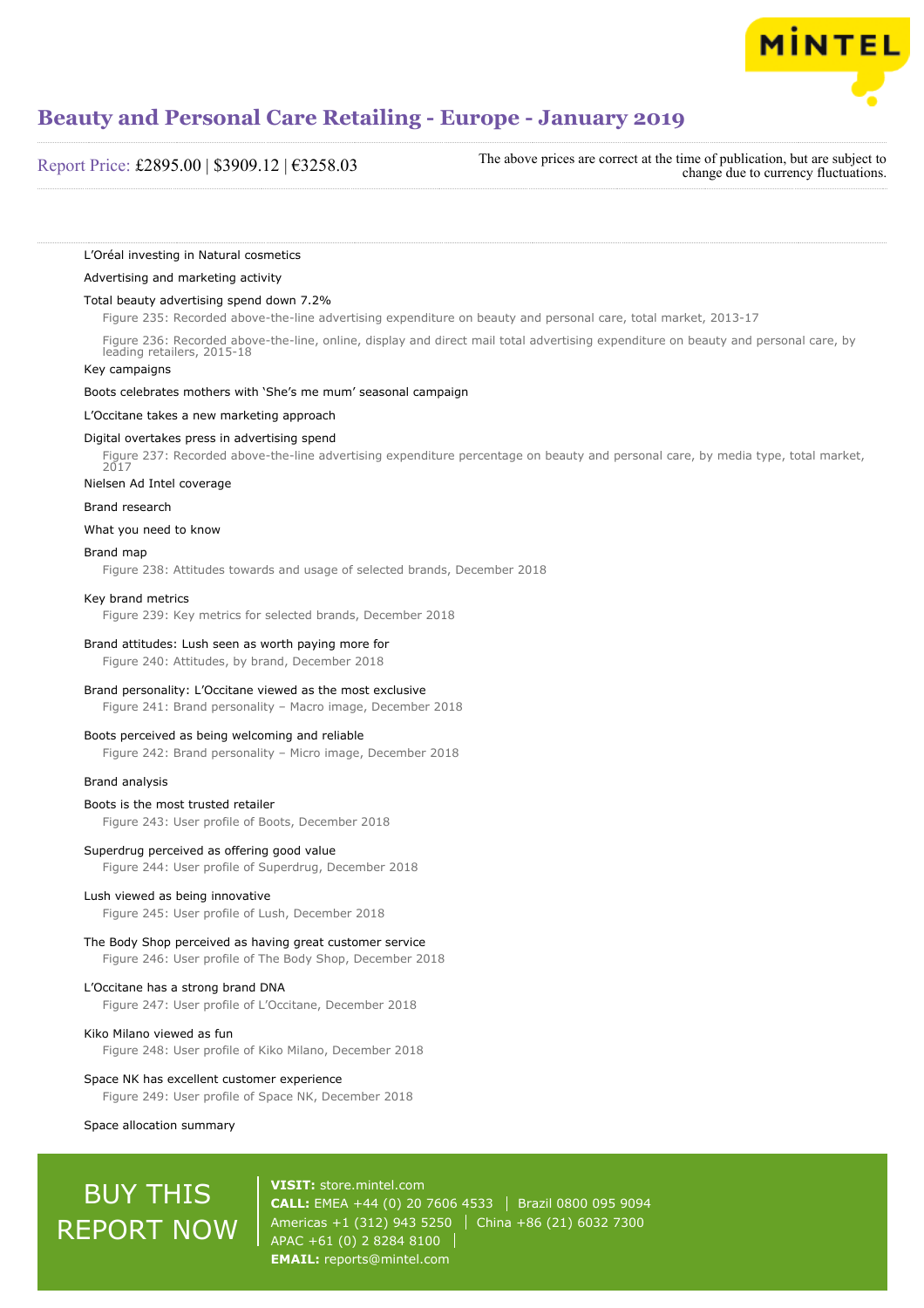

Report Price: £2895.00 | \$3909.12 | €3258.03

The above prices are correct at the time of publication, but are subject to change due to currency fluctuations.

#### L'Oréal investing in Natural cosmetics

#### Advertising and marketing activity

#### Total beauty advertising spend down 7.2%

Figure 235: Recorded above-the-line advertising expenditure on beauty and personal care, total market, 2013-17

Figure 236: Recorded above-the-line, online, display and direct mail total advertising expenditure on beauty and personal care, by leading retailers, 2015-18

#### Key campaigns

Boots celebrates mothers with 'She's me mum' seasonal campaign

#### L'Occitane takes a new marketing approach

#### Digital overtakes press in advertising spend

Figure 237: Recorded above-the-line advertising expenditure percentage on beauty and personal care, by media type, total market, 2017

#### Nielsen Ad Intel coverage

#### Brand research

What you need to know

#### Brand map

Figure 238: Attitudes towards and usage of selected brands, December 2018

#### Key brand metrics

Figure 239: Key metrics for selected brands, December 2018

#### Brand attitudes: Lush seen as worth paying more for

Figure 240: Attitudes, by brand, December 2018

#### Brand personality: L'Occitane viewed as the most exclusive

Figure 241: Brand personality – Macro image, December 2018

#### Boots perceived as being welcoming and reliable

Figure 242: Brand personality – Micro image, December 2018

#### Brand analysis

#### Boots is the most trusted retailer Figure 243: User profile of Boots, December 2018

#### Superdrug perceived as offering good value

Figure 244: User profile of Superdrug, December 2018

#### Lush viewed as being innovative

Figure 245: User profile of Lush, December 2018

#### The Body Shop perceived as having great customer service Figure 246: User profile of The Body Shop, December 2018

### L'Occitane has a strong brand DNA

Figure 247: User profile of L'Occitane, December 2018

Kiko Milano viewed as fun Figure 248: User profile of Kiko Milano, December 2018

#### Space NK has excellent customer experience

Figure 249: User profile of Space NK, December 2018

#### Space allocation summary

## BUY THIS REPORT NOW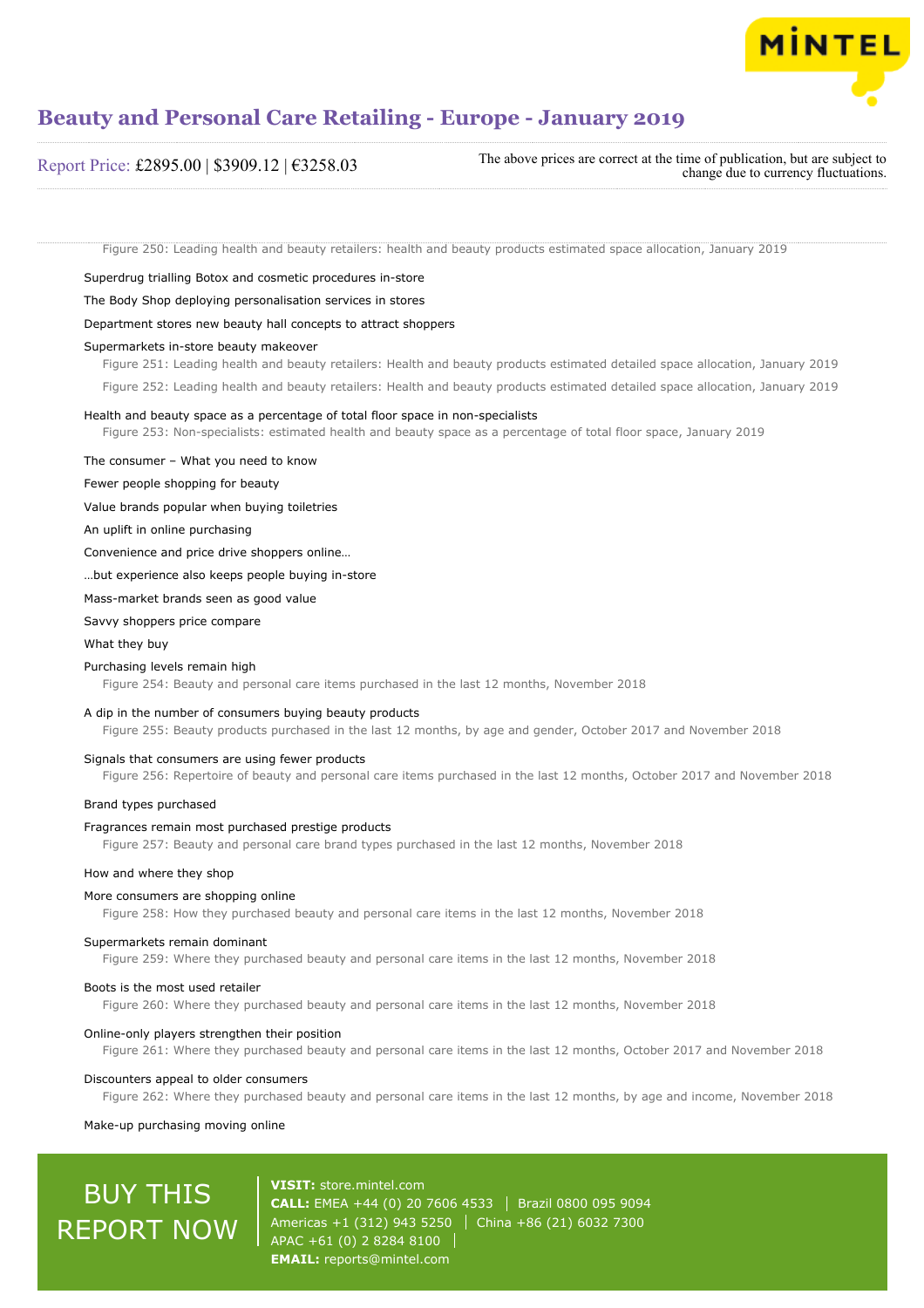

#### Report Price: £2895.00 | \$3909.12 | €3258.03

The above prices are correct at the time of publication, but are subject to change due to currency fluctuations.

Figure 250: Leading health and beauty retailers: health and beauty products estimated space allocation, January 2019

Superdrug trialling Botox and cosmetic procedures in-store

#### The Body Shop deploying personalisation services in stores

#### Department stores new beauty hall concepts to attract shoppers

#### Supermarkets in-store beauty makeover

Figure 251: Leading health and beauty retailers: Health and beauty products estimated detailed space allocation, January 2019

Figure 252: Leading health and beauty retailers: Health and beauty products estimated detailed space allocation, January 2019

#### Health and beauty space as a percentage of total floor space in non-specialists

Figure 253: Non-specialists: estimated health and beauty space as a percentage of total floor space, January 2019

The consumer – What you need to know

Fewer people shopping for beauty

#### Value brands popular when buying toiletries

An uplift in online purchasing

Convenience and price drive shoppers online…

…but experience also keeps people buying in-store

Mass-market brands seen as good value

Savvy shoppers price compare

#### What they buy

#### Purchasing levels remain high

Figure 254: Beauty and personal care items purchased in the last 12 months, November 2018

#### A dip in the number of consumers buying beauty products

Figure 255: Beauty products purchased in the last 12 months, by age and gender, October 2017 and November 2018

#### Signals that consumers are using fewer products

Figure 256: Repertoire of beauty and personal care items purchased in the last 12 months, October 2017 and November 2018

#### Brand types purchased

#### Fragrances remain most purchased prestige products

Figure 257: Beauty and personal care brand types purchased in the last 12 months, November 2018

#### How and where they shop

#### More consumers are shopping online

Figure 258: How they purchased beauty and personal care items in the last 12 months, November 2018

#### Supermarkets remain dominant

Figure 259: Where they purchased beauty and personal care items in the last 12 months, November 2018

#### Boots is the most used retailer

Figure 260: Where they purchased beauty and personal care items in the last 12 months, November 2018

#### Online-only players strengthen their position

Figure 261: Where they purchased beauty and personal care items in the last 12 months, October 2017 and November 2018

#### Discounters appeal to older consumers

Figure 262: Where they purchased beauty and personal care items in the last 12 months, by age and income, November 2018

#### Make-up purchasing moving online

## BUY THIS REPORT NOW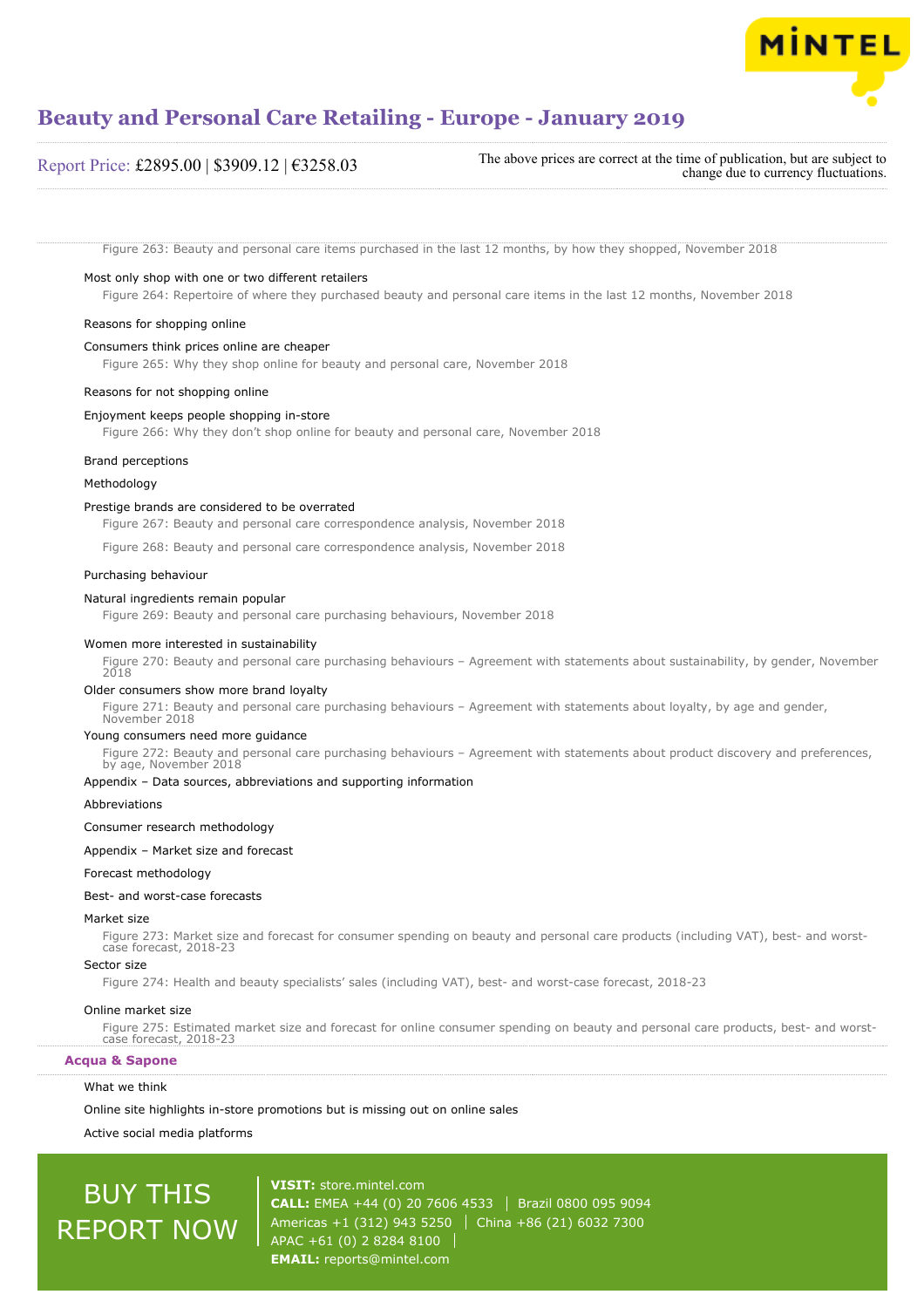

#### Report Price: £2895.00 | \$3909.12 | €3258.03

The above prices are correct at the time of publication, but are subject to change due to currency fluctuations.

Figure 263: Beauty and personal care items purchased in the last 12 months, by how they shopped, November 2018

#### Most only shop with one or two different retailers

Figure 264: Repertoire of where they purchased beauty and personal care items in the last 12 months, November 2018

#### Reasons for shopping online

#### Consumers think prices online are cheaper

Figure 265: Why they shop online for beauty and personal care, November 2018

#### Reasons for not shopping online

#### Enjoyment keeps people shopping in-store

Figure 266: Why they don't shop online for beauty and personal care, November 2018

#### Brand perceptions

#### Methodology

#### Prestige brands are considered to be overrated

Figure 267: Beauty and personal care correspondence analysis, November 2018

Figure 268: Beauty and personal care correspondence analysis, November 2018

#### Purchasing behaviour

#### Natural ingredients remain popular

Figure 269: Beauty and personal care purchasing behaviours, November 2018

#### Women more interested in sustainability

Figure 270: Beauty and personal care purchasing behaviours – Agreement with statements about sustainability, by gender, November 2018

#### Older consumers show more brand loyalty

Figure 271: Beauty and personal care purchasing behaviours – Agreement with statements about loyalty, by age and gender, November 2018

#### Young consumers need more guidance

Figure 272: Beauty and personal care purchasing behaviours – Agreement with statements about product discovery and preferences, by age, November 2018

#### Appendix – Data sources, abbreviations and supporting information

#### Abbreviations

#### Consumer research methodology

#### Appendix – Market size and forecast

#### Forecast methodology

#### Best- and worst-case forecasts

#### Market size

Figure 273: Market size and forecast for consumer spending on beauty and personal care products (including VAT), best- and worstcase forecast, 2018-23

#### Sector size

Figure 274: Health and beauty specialists' sales (including VAT), best- and worst-case forecast, 2018-23

#### Online market size

Figure 275: Estimated market size and forecast for online consumer spending on beauty and personal care products, best- and worstcase forecast, 2018-23

**Acqua & Sapone**

#### What we think

Online site highlights in-store promotions but is missing out on online sales

Active social media platforms

## BUY THIS REPORT NOW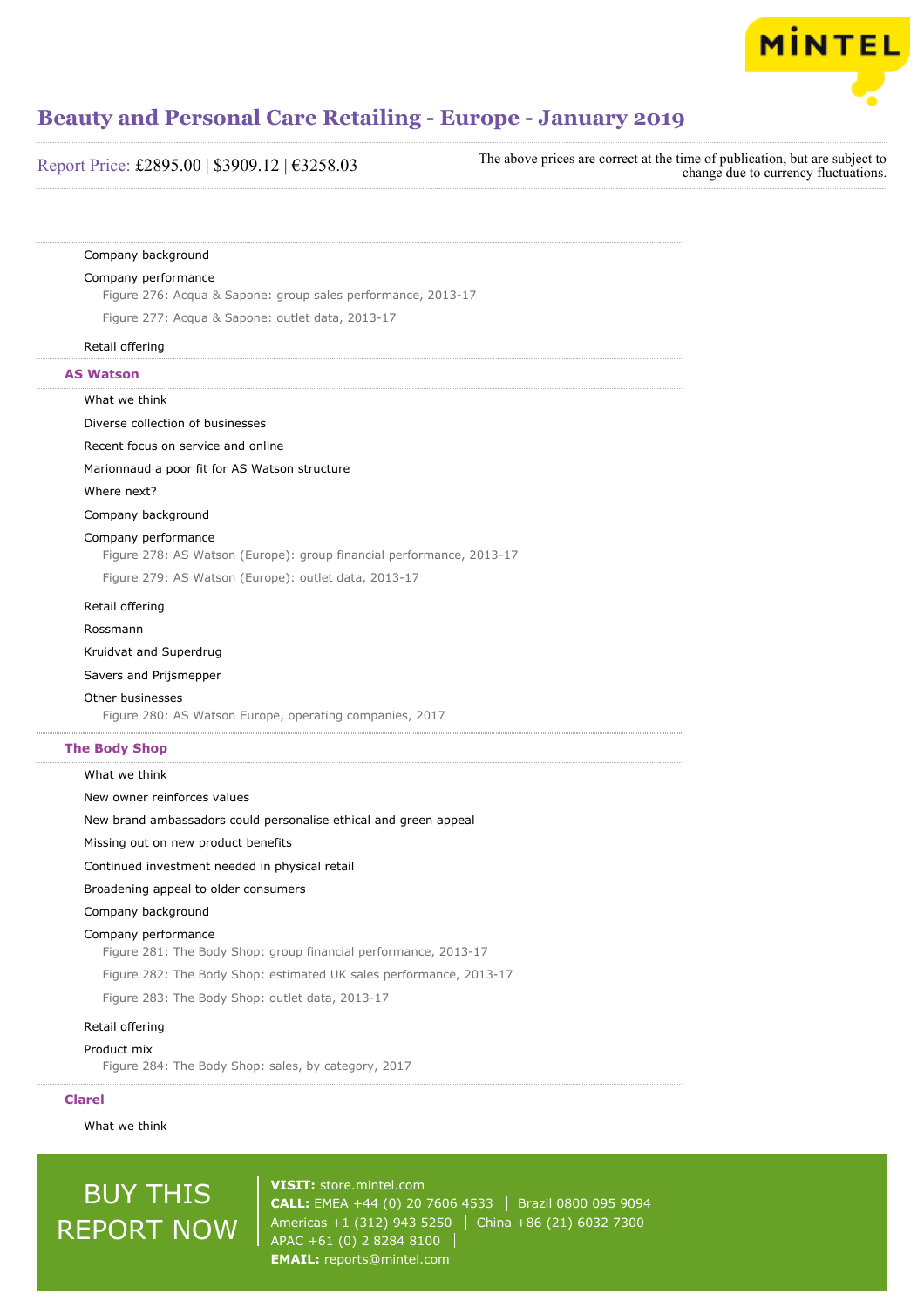

| Report Price: £2895.00   \$3909.12   €3258.03 |  |  |
|-----------------------------------------------|--|--|
|                                               |  |  |

The above prices are correct at the time of publication, but are subject to change due to currency fluctuations.

#### Company background

#### Company performance

Figure 276: Acqua & Sapone: group sales performance, 2013-17

Figure 277: Acqua & Sapone: outlet data, 2013-17

#### Retail offering

#### **AS Watson**

#### What we think

Diverse collection of businesses

Recent focus on service and online

Marionnaud a poor fit for AS Watson structure

#### Where next?

Company background

#### Company performance

Figure 278: AS Watson (Europe): group financial performance, 2013-17

Figure 279: AS Watson (Europe): outlet data, 2013-17

#### Retail offering

Rossmann

#### Kruidvat and Superdrug

Savers and Prijsmepper

#### Other businesses

Figure 280: AS Watson Europe, operating companies, 2017

#### **The Body Shop**

#### What we think

New owner reinforces values

New brand ambassadors could personalise ethical and green appeal

Missing out on new product benefits

Continued investment needed in physical retail

#### Broadening appeal to older consumers

Company background

#### Company performance

Figure 281: The Body Shop: group financial performance, 2013-17

Figure 282: The Body Shop: estimated UK sales performance, 2013-17

Figure 283: The Body Shop: outlet data, 2013-17

#### Retail offering

#### Product mix

Figure 284: The Body Shop: sales, by category, 2017

#### **Clarel**

What we think

## BUY THIS REPORT NOW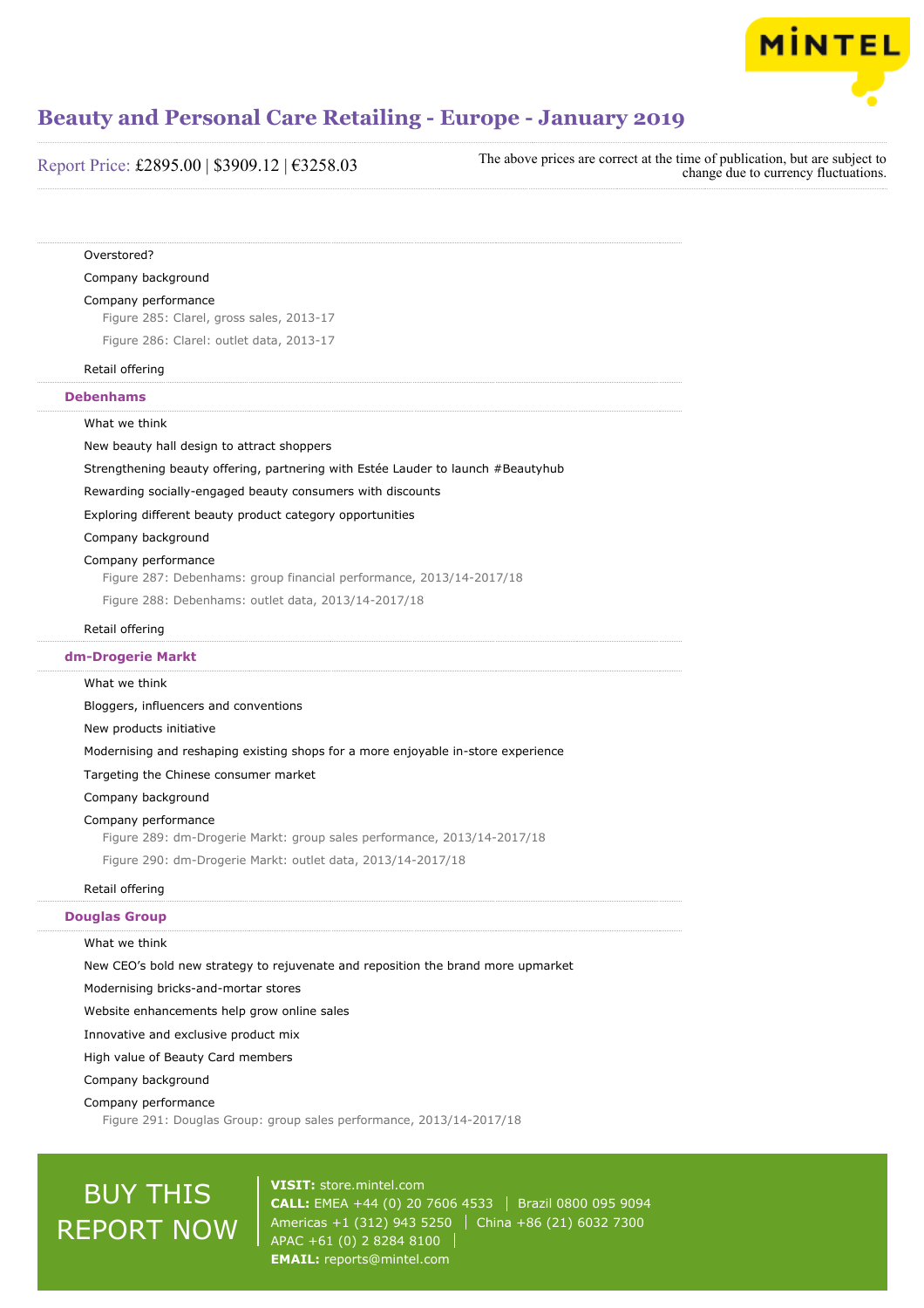

Report Price: £2895.00 | \$3909.12 | €3258.03

The above prices are correct at the time of publication, but are subject to change due to currency fluctuations.

#### Overstored?

Company background

#### Company performance

Figure 285: Clarel, gross sales, 2013-17

Figure 286: Clarel: outlet data, 2013-17

Retail offering

#### **Debenhams**

What we think

New beauty hall design to attract shoppers

Strengthening beauty offering, partnering with Estée Lauder to launch #Beautyhub

Rewarding socially-engaged beauty consumers with discounts

Exploring different beauty product category opportunities

Company background

#### Company performance

Figure 287: Debenhams: group financial performance, 2013/14-2017/18

Figure 288: Debenhams: outlet data, 2013/14-2017/18

#### Retail offering

**dm-Drogerie Markt**

#### What we think

Bloggers, influencers and conventions New products initiative Modernising and reshaping existing shops for a more enjoyable in-store experience Targeting the Chinese consumer market Company background Company performance Figure 289: dm-Drogerie Markt: group sales performance, 2013/14-2017/18 Figure 290: dm-Drogerie Markt: outlet data, 2013/14-2017/18

#### Retail offering

#### **Douglas Group**

#### What we think

New CEO's bold new strategy to rejuvenate and reposition the brand more upmarket

Modernising bricks-and-mortar stores

Website enhancements help grow online sales

Innovative and exclusive product mix

High value of Beauty Card members

Company background

Company performance

Figure 291: Douglas Group: group sales performance, 2013/14-2017/18

## BUY THIS REPORT NOW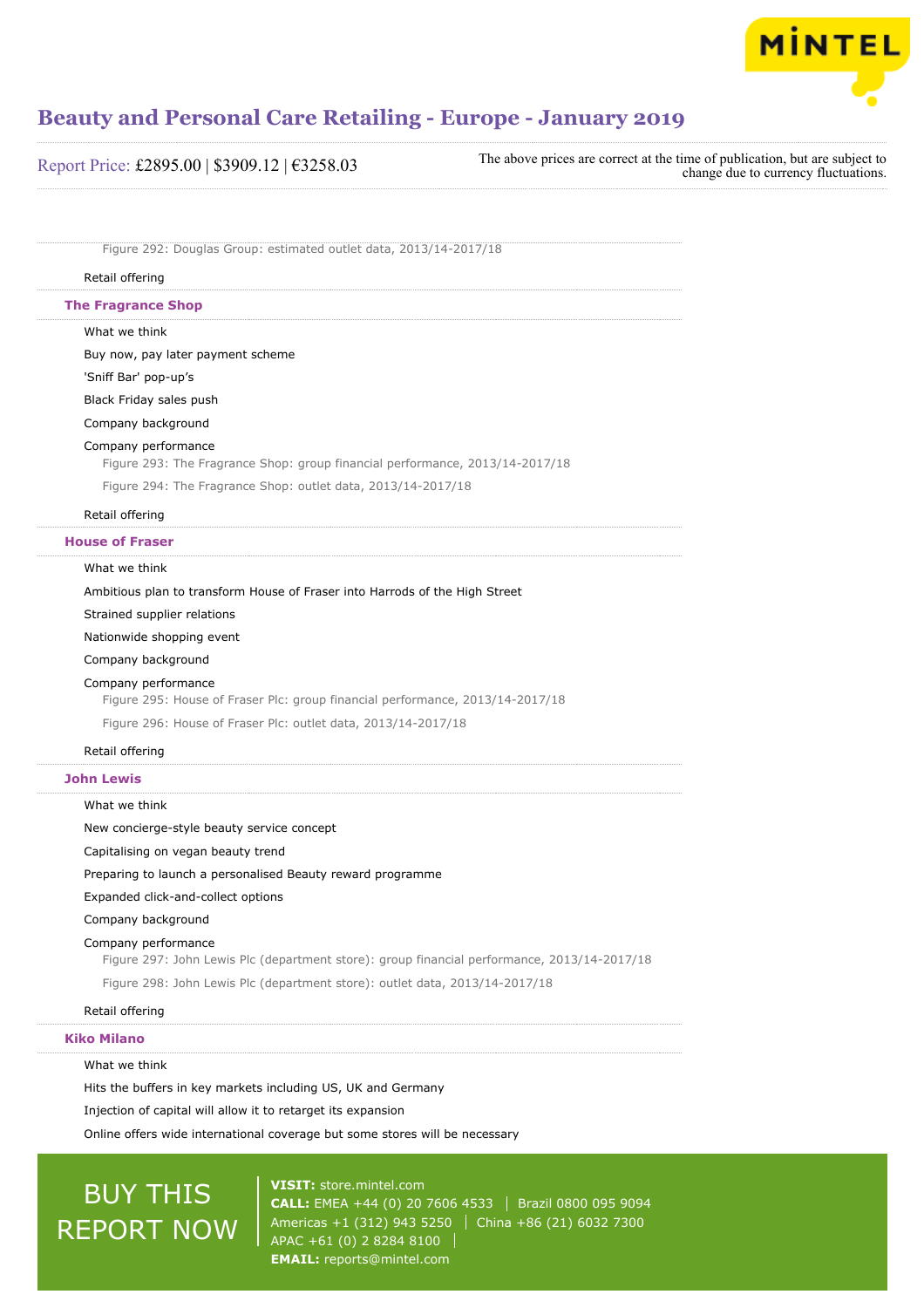

Report Price: £2895.00 | \$3909.12 | €3258.03

The above prices are correct at the time of publication, but are subject to change due to currency fluctuations.

Figure 292: Douglas Group: estimated outlet data, 2013/14-2017/18

#### Retail offering

**The Fragrance Shop**

What we think

Buy now, pay later payment scheme

'Sniff Bar' pop-up's

Black Friday sales push

Company background

#### Company performance

Figure 293: The Fragrance Shop: group financial performance, 2013/14-2017/18

Figure 294: The Fragrance Shop: outlet data, 2013/14-2017/18

Retail offering

**House of Fraser**

#### What we think

Ambitious plan to transform House of Fraser into Harrods of the High Street

Strained supplier relations

Nationwide shopping event

Company background

#### Company performance

Figure 295: House of Fraser Plc: group financial performance, 2013/14-2017/18

Figure 296: House of Fraser Plc: outlet data, 2013/14-2017/18

#### Retail offering

#### **John Lewis**

What we think

New concierge-style beauty service concept

Capitalising on vegan beauty trend

Preparing to launch a personalised Beauty reward programme

Expanded click-and-collect options

Company background

#### Company performance

Figure 297: John Lewis Plc (department store): group financial performance, 2013/14-2017/18

Figure 298: John Lewis Plc (department store): outlet data, 2013/14-2017/18

#### Retail offering

#### **Kiko Milano**

What we think

Hits the buffers in key markets including US, UK and Germany

Injection of capital will allow it to retarget its expansion

Online offers wide international coverage but some stores will be necessary

## BUY THIS REPORT NOW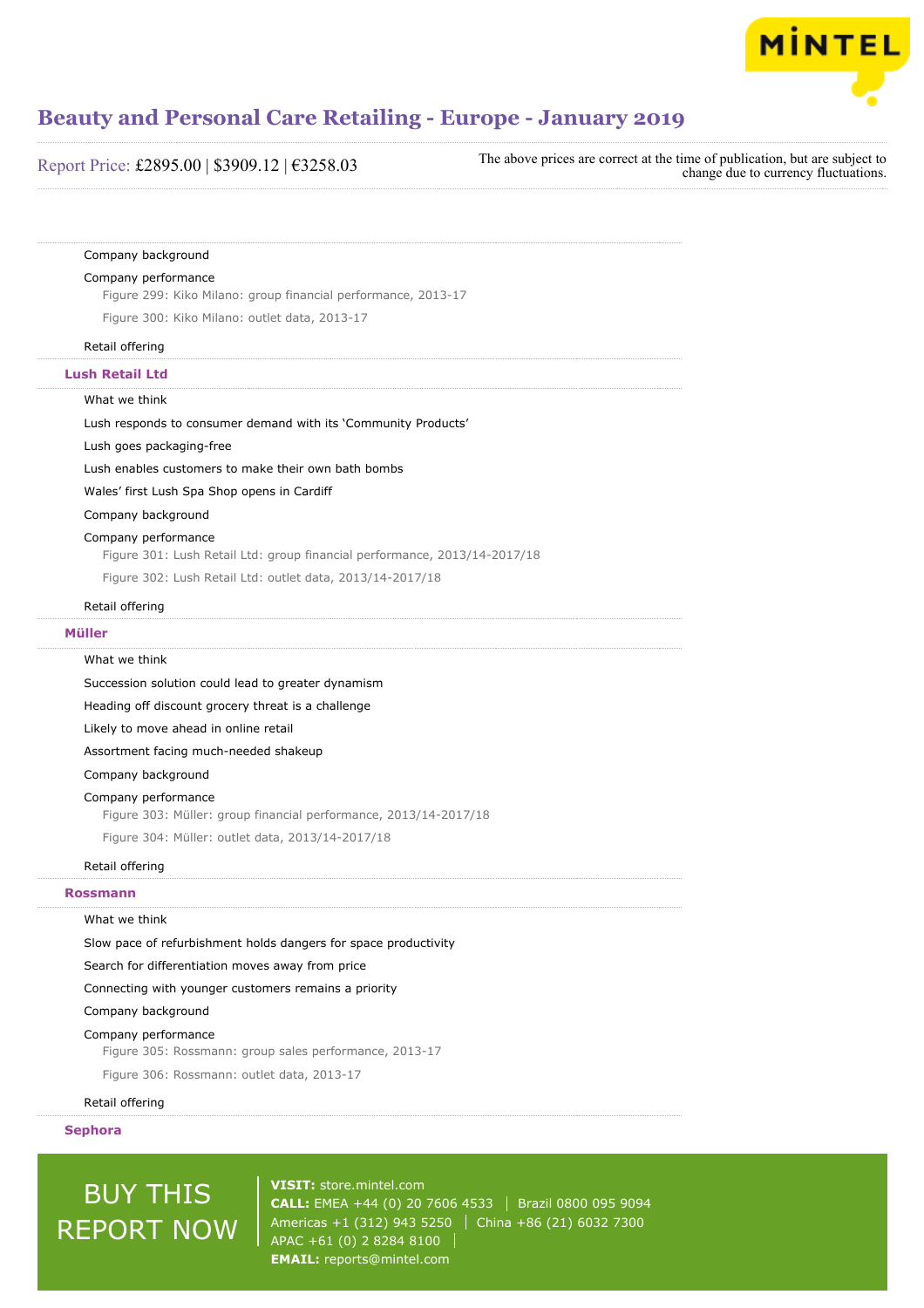

| Report Price: £2895.00   \$3909.12   $€3258.03$ | The above prices are correct at the time of publication, but are subject to<br>change due to currency fluctuations. |
|-------------------------------------------------|---------------------------------------------------------------------------------------------------------------------|
|-------------------------------------------------|---------------------------------------------------------------------------------------------------------------------|

#### Company background

#### Company performance

Figure 299: Kiko Milano: group financial performance, 2013-17

Figure 300: Kiko Milano: outlet data, 2013-17

#### Retail offering

**Lush Retail Ltd**

#### What we think

Lush responds to consumer demand with its 'Community Products'

#### Lush goes packaging-free

Lush enables customers to make their own bath bombs

Wales' first Lush Spa Shop opens in Cardiff

#### Company background

#### Company performance

Figure 301: Lush Retail Ltd: group financial performance, 2013/14-2017/18

Figure 302: Lush Retail Ltd: outlet data, 2013/14-2017/18

#### Retail offering

#### **Müller**

#### What we think

Succession solution could lead to greater dynamism

Heading off discount grocery threat is a challenge

Likely to move ahead in online retail

Assortment facing much-needed shakeup

#### Company background

#### Company performance

Figure 303: Müller: group financial performance, 2013/14-2017/18

Figure 304: Müller: outlet data, 2013/14-2017/18

#### Retail offering

#### **Rossmann**

#### What we think

Slow pace of refurbishment holds dangers for space productivity

Search for differentiation moves away from price

Connecting with younger customers remains a priority

#### Company background

#### Company performance

Figure 305: Rossmann: group sales performance, 2013-17

Figure 306: Rossmann: outlet data, 2013-17

#### Retail offering

#### **Sephora**

## BUY THIS REPORT NOW